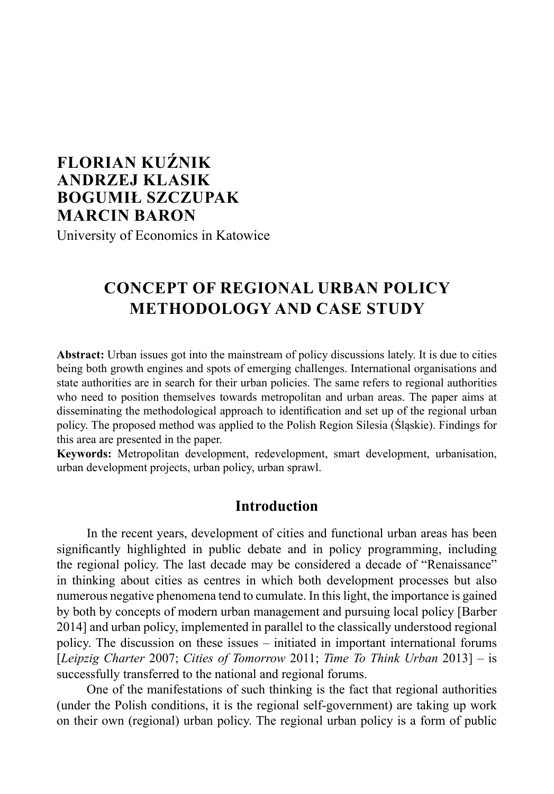# **FLORIAN KUŹNIK ANDRZEJ KLASIK BOGUMIŁ SZCZUPAK MARCIN BARON**

University of Economics in Katowice

# **CONCEPT OF REGIONAL URBAN POLICY METHODOLOGY AND CASE STUDY**

**Abstract:** Urban issues got into the mainstream of policy discussions lately. It is due to cities being both growth engines and spots of emerging challenges. International organisations and state authorities are in search for their urban policies. The same refers to regional authorities who need to position themselves towards metropolitan and urban areas. The paper aims at disseminating the methodological approach to identification and set up of the regional urban policy. The proposed method was applied to the Polish Region Silesia (Śląskie). Findings for this area are presented in the paper.

**Keywords:** Metropolitan development, redevelopment, smart development, urbanisation, urban development projects, urban policy, urban sprawl.

### **Introduction**

In the recent years, development of cities and functional urban areas has been significantly highlighted in public debate and in policy programming, including the regional policy. The last decade may be considered a decade of "Renaissance" in thinking about cities as centres in which both development processes but also numerous negative phenomena tend to cumulate. In this light, the importance is gained by both by concepts of modern urban management and pursuing local policy [Barber 2014] and urban policy, implemented in parallel to the classically understood regional policy. The discussion on these issues – initiated in important international forums [*Leipzig Charter* 2007; *Cities of Tomorrow* 2011; *Time To Think Urban* 2013] – is successfully transferred to the national and regional forums.

One of the manifestations of such thinking is the fact that regional authorities (under the Polish conditions, it is the regional self-government) are taking up work on their own (regional) urban policy. The regional urban policy is a form of public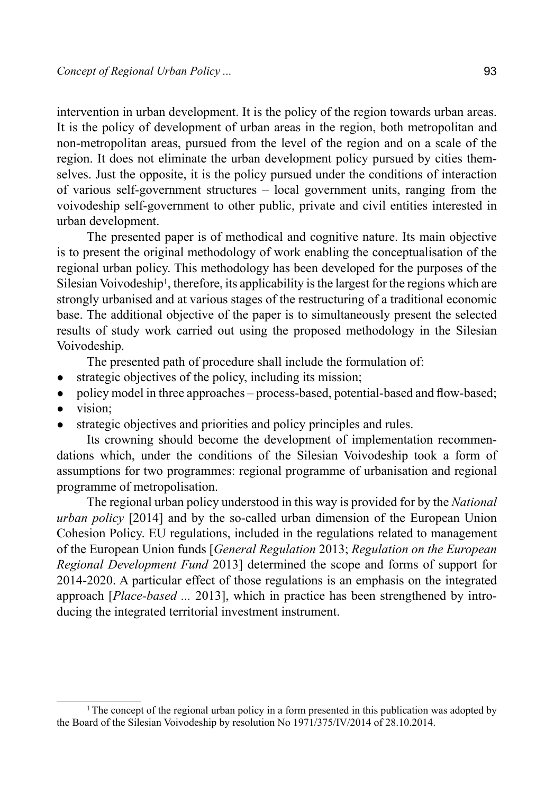intervention in urban development. It is the policy of the region towards urban areas. It is the policy of development of urban areas in the region, both metropolitan and non-metropolitan areas, pursued from the level of the region and on a scale of the region. It does not eliminate the urban development policy pursued by cities themselves. Just the opposite, it is the policy pursued under the conditions of interaction of various self-government structures – local government units, ranging from the voivodeship self-government to other public, private and civil entities interested in urban development.

The presented paper is of methodical and cognitive nature. Its main objective is to present the original methodology of work enabling the conceptualisation of the regional urban policy. This methodology has been developed for the purposes of the Silesian Voivodeship<sup>1</sup>, therefore, its applicability is the largest for the regions which are strongly urbanised and at various stages of the restructuring of a traditional economic base. The additional objective of the paper is to simultaneously present the selected results of study work carried out using the proposed methodology in the Silesian Voivodeship.

The presented path of procedure shall include the formulation of:

- strategic objectives of the policy, including its mission;
- policy model in three approaches process-based, potential-based and flow-based; ● vision;
- strategic objectives and priorities and policy principles and rules.

Its crowning should become the development of implementation recommendations which, under the conditions of the Silesian Voivodeship took a form of assumptions for two programmes: regional programme of urbanisation and regional programme of metropolisation.

The regional urban policy understood in this way is provided for by the *National urban policy* [2014] and by the so-called urban dimension of the European Union Cohesion Policy. EU regulations, included in the regulations related to management of the European Union funds [*General Regulation* 2013; *Regulation on the European Regional Development Fund* 2013] determined the scope and forms of support for 2014-2020. A particular effect of those regulations is an emphasis on the integrated approach [*Place-based ...* 2013], which in practice has been strengthened by introducing the integrated territorial investment instrument.

<sup>&</sup>lt;sup>1</sup> The concept of the regional urban policy in a form presented in this publication was adopted by the Board of the Silesian Voivodeship by resolution No 1971/375/IV/2014 of 28.10.2014.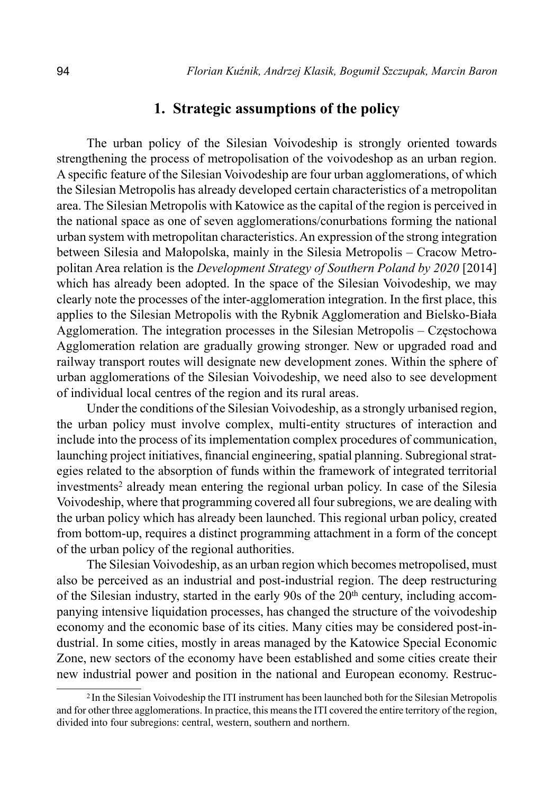#### **1. Strategic assumptions of the policy**

The urban policy of the Silesian Voivodeship is strongly oriented towards strengthening the process of metropolisation of the voivodeshop as an urban region. A specific feature of the Silesian Voivodeship are four urban agglomerations, of which the Silesian Metropolis has already developed certain characteristics of a metropolitan area. The Silesian Metropolis with Katowice as the capital of the region is perceived in the national space as one of seven agglomerations/conurbations forming the national urban system with metropolitan characteristics. An expression of the strong integration between Silesia and Małopolska, mainly in the Silesia Metropolis – Cracow Metropolitan Area relation is the *Development Strategy of Southern Poland by 2020* [2014] which has already been adopted. In the space of the Silesian Voivodeship, we may clearly note the processes of the inter-agglomeration integration. In the first place, this applies to the Silesian Metropolis with the Rybnik Agglomeration and Bielsko-Biała Agglomeration. The integration processes in the Silesian Metropolis – Częstochowa Agglomeration relation are gradually growing stronger. New or upgraded road and railway transport routes will designate new development zones. Within the sphere of urban agglomerations of the Silesian Voivodeship, we need also to see development of individual local centres of the region and its rural areas.

Under the conditions of the Silesian Voivodeship, as a strongly urbanised region, the urban policy must involve complex, multi-entity structures of interaction and include into the process of its implementation complex procedures of communication, launching project initiatives, financial engineering, spatial planning. Subregional strategies related to the absorption of funds within the framework of integrated territorial investments2 already mean entering the regional urban policy. In case of the Silesia Voivodeship, where that programming covered all four subregions, we are dealing with the urban policy which has already been launched. This regional urban policy, created from bottom-up, requires a distinct programming attachment in a form of the concept of the urban policy of the regional authorities.

The Silesian Voivodeship, as an urban region which becomes metropolised, must also be perceived as an industrial and post-industrial region. The deep restructuring of the Silesian industry, started in the early 90s of the  $20<sup>th</sup>$  century, including accompanying intensive liquidation processes, has changed the structure of the voivodeship economy and the economic base of its cities. Many cities may be considered post-industrial. In some cities, mostly in areas managed by the Katowice Special Economic Zone, new sectors of the economy have been established and some cities create their new industrial power and position in the national and European economy. Restruc-

<sup>2</sup> In the Silesian Voivodeship the ITI instrument has been launched both for the Silesian Metropolis and for other three agglomerations. In practice, this means the ITI covered the entire territory of the region, divided into four subregions: central, western, southern and northern.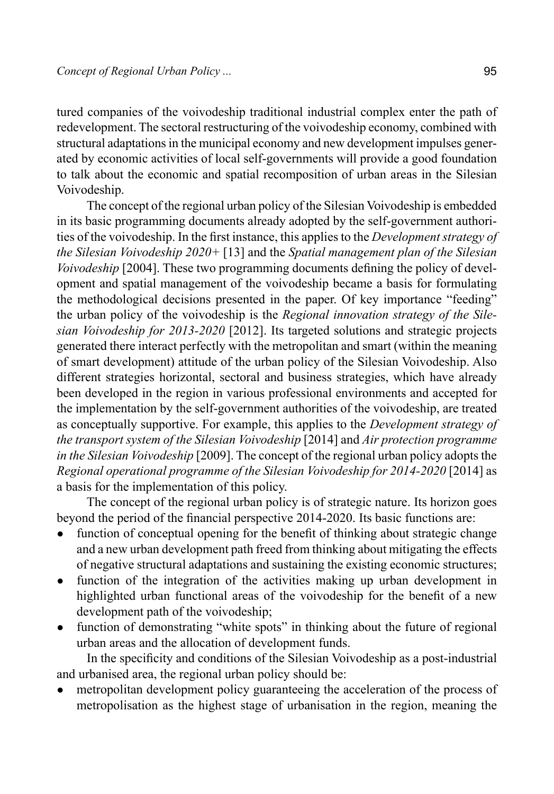tured companies of the voivodeship traditional industrial complex enter the path of redevelopment. The sectoral restructuring of the voivodeship economy, combined with structural adaptations in the municipal economy and new development impulses generated by economic activities of local self-governments will provide a good foundation to talk about the economic and spatial recomposition of urban areas in the Silesian Voivodeship.

The concept of the regional urban policy of the Silesian Voivodeship is embedded in its basic programming documents already adopted by the self-government authorities of the voivodeship. In the first instance, this applies to the *Development strategy of the Silesian Voivodeship 2020+* [13] and the *Spatial management plan of the Silesian Voivodeship* [2004]. These two programming documents defining the policy of development and spatial management of the voivodeship became a basis for formulating the methodological decisions presented in the paper. Of key importance "feeding" the urban policy of the voivodeship is the *Regional innovation strategy of the Silesian Voivodeship for 2013-2020* [2012]. Its targeted solutions and strategic projects generated there interact perfectly with the metropolitan and smart (within the meaning of smart development) attitude of the urban policy of the Silesian Voivodeship. Also different strategies horizontal, sectoral and business strategies, which have already been developed in the region in various professional environments and accepted for the implementation by the self-government authorities of the voivodeship, are treated as conceptually supportive. For example, this applies to the *Development strategy of the transport system of the Silesian Voivodeship* [2014] and *Air protection programme in the Silesian Voivodeship* [2009]. The concept of the regional urban policy adopts the *Regional operational programme of the Silesian Voivodeship for 2014-2020* [2014] as a basis for the implementation of this policy.

The concept of the regional urban policy is of strategic nature. Its horizon goes beyond the period of the financial perspective 2014-2020. Its basic functions are:

- function of conceptual opening for the benefit of thinking about strategic change and a new urban development path freed from thinking about mitigating the effects of negative structural adaptations and sustaining the existing economic structures;
- function of the integration of the activities making up urban development in highlighted urban functional areas of the voivodeship for the benefit of a new development path of the voivodeship;
- function of demonstrating "white spots" in thinking about the future of regional urban areas and the allocation of development funds.

In the specificity and conditions of the Silesian Voivodeship as a post-industrial and urbanised area, the regional urban policy should be:

metropolitan development policy guaranteeing the acceleration of the process of metropolisation as the highest stage of urbanisation in the region, meaning the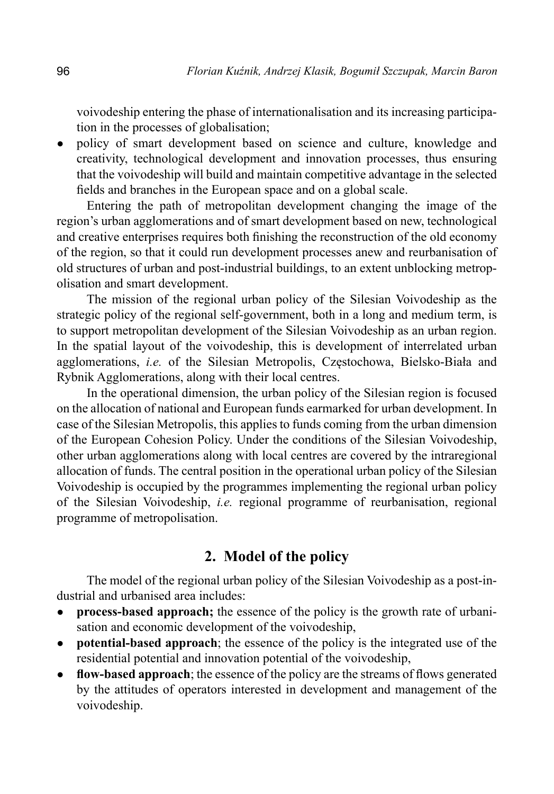voivodeship entering the phase of internationalisation and its increasing participation in the processes of globalisation;

• policy of smart development based on science and culture, knowledge and creativity, technological development and innovation processes, thus ensuring that the voivodeship will build and maintain competitive advantage in the selected fields and branches in the European space and on a global scale.

Entering the path of metropolitan development changing the image of the region's urban agglomerations and of smart development based on new, technological and creative enterprises requires both finishing the reconstruction of the old economy of the region, so that it could run development processes anew and reurbanisation of old structures of urban and post-industrial buildings, to an extent unblocking metropolisation and smart development.

The mission of the regional urban policy of the Silesian Voivodeship as the strategic policy of the regional self-government, both in a long and medium term, is to support metropolitan development of the Silesian Voivodeship as an urban region. In the spatial layout of the voivodeship, this is development of interrelated urban agglomerations, *i.e.* of the Silesian Metropolis, Częstochowa, Bielsko-Biała and Rybnik Agglomerations, along with their local centres.

In the operational dimension, the urban policy of the Silesian region is focused on the allocation of national and European funds earmarked for urban development. In case of the Silesian Metropolis, this applies to funds coming from the urban dimension of the European Cohesion Policy. Under the conditions of the Silesian Voivodeship, other urban agglomerations along with local centres are covered by the intraregional allocation of funds. The central position in the operational urban policy of the Silesian Voivodeship is occupied by the programmes implementing the regional urban policy of the Silesian Voivodeship, *i.e.* regional programme of reurbanisation, regional programme of metropolisation.

#### **2. Model of the policy**

The model of the regional urban policy of the Silesian Voivodeship as a post-industrial and urbanised area includes:

- **process-based approach;** the essence of the policy is the growth rate of urbanisation and economic development of the voivodeship,
- **potential-based approach**; the essence of the policy is the integrated use of the residential potential and innovation potential of the voivodeship,
- **flow-based approach**; the essence of the policy are the streams of flows generated by the attitudes of operators interested in development and management of the voivodeship.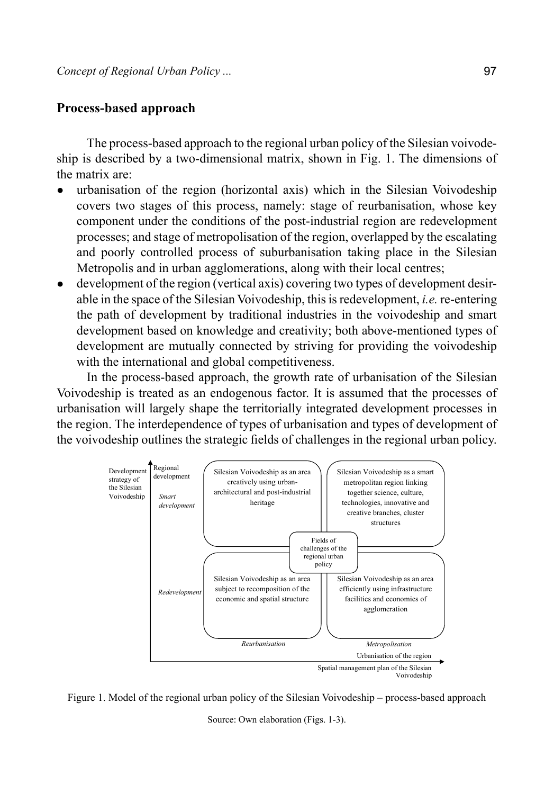#### **Process-based approach**

The process-based approach to the regional urban policy of the Silesian voivodeship is described by a two-dimensional matrix, shown in Fig. 1. The dimensions of the matrix are:

- urbanisation of the region (horizontal axis) which in the Silesian Voivodeship covers two stages of this process, namely: stage of reurbanisation, whose key component under the conditions of the post-industrial region are redevelopment processes; and stage of metropolisation of the region, overlapped by the escalating and poorly controlled process of suburbanisation taking place in the Silesian Metropolis and in urban agglomerations, along with their local centres;
- development of the region (vertical axis) covering two types of development desirable in the space of the Silesian Voivodeship, this is redevelopment, *i.e.* re-entering the path of development by traditional industries in the voivodeship and smart development based on knowledge and creativity; both above-mentioned types of development are mutually connected by striving for providing the voivodeship with the international and global competitiveness.

In the process-based approach, the growth rate of urbanisation of the Silesian Voivodeship is treated as an endogenous factor. It is assumed that the processes of urbanisation will largely shape the territorially integrated development processes in the region. The interdependence of types of urbanisation and types of development of the voivodeship outlines the strategic fields of challenges in the regional urban policy.



Figure 1. Model of the regional urban policy of the Silesian Voivodeship – process-based approach

Source: Own elaboration (Figs. 1-3).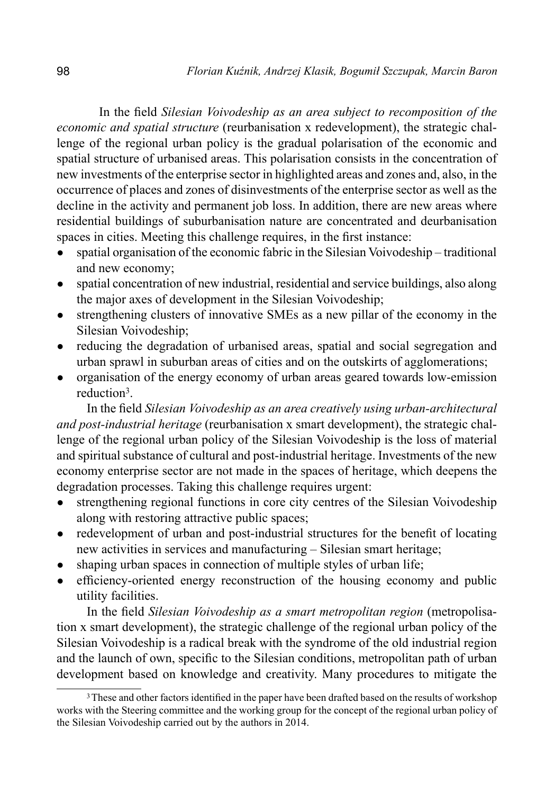In the field *Silesian Voivodeship as an area subject to recomposition of the economic and spatial structure* (reurbanisation x redevelopment), the strategic challenge of the regional urban policy is the gradual polarisation of the economic and spatial structure of urbanised areas. This polarisation consists in the concentration of new investments of the enterprise sector in highlighted areas and zones and, also, in the occurrence of places and zones of disinvestments of the enterprise sector as well as the decline in the activity and permanent job loss. In addition, there are new areas where residential buildings of suburbanisation nature are concentrated and deurbanisation spaces in cities. Meeting this challenge requires, in the first instance:

- spatial organisation of the economic fabric in the Silesian Voivodeship traditional and new economy;
- spatial concentration of new industrial, residential and service buildings, also along the major axes of development in the Silesian Voivodeship;
- strengthening clusters of innovative SMEs as a new pillar of the economy in the Silesian Voivodeship;
- reducing the degradation of urbanised areas, spatial and social segregation and urban sprawl in suburban areas of cities and on the outskirts of agglomerations;
- organisation of the energy economy of urban areas geared towards low-emission reduction3.

In the field *Silesian Voivodeship as an area creatively using urban-architectural and post-industrial heritage* (reurbanisation x smart development), the strategic challenge of the regional urban policy of the Silesian Voivodeship is the loss of material and spiritual substance of cultural and post-industrial heritage. Investments of the new economy enterprise sector are not made in the spaces of heritage, which deepens the degradation processes. Taking this challenge requires urgent:

- strengthening regional functions in core city centres of the Silesian Voivodeship along with restoring attractive public spaces;
- redevelopment of urban and post-industrial structures for the benefit of locating new activities in services and manufacturing – Silesian smart heritage;
- shaping urban spaces in connection of multiple styles of urban life;
- efficiency-oriented energy reconstruction of the housing economy and public utility facilities.

In the field *Silesian Voivodeship as a smart metropolitan region* (metropolisation x smart development), the strategic challenge of the regional urban policy of the Silesian Voivodeship is a radical break with the syndrome of the old industrial region and the launch of own, specific to the Silesian conditions, metropolitan path of urban development based on knowledge and creativity. Many procedures to mitigate the

<sup>&</sup>lt;sup>3</sup>These and other factors identified in the paper have been drafted based on the results of workshop works with the Steering committee and the working group for the concept of the regional urban policy of the Silesian Voivodeship carried out by the authors in 2014.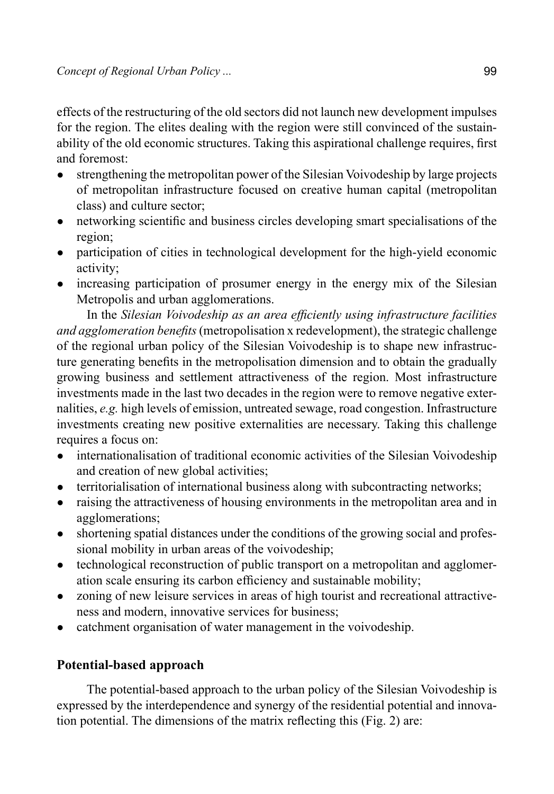effects of the restructuring of the old sectors did not launch new development impulses for the region. The elites dealing with the region were still convinced of the sustainability of the old economic structures. Taking this aspirational challenge requires, first and foremost:

- strengthening the metropolitan power of the Silesian Voivodeship by large projects of metropolitan infrastructure focused on creative human capital (metropolitan class) and culture sector;
- networking scientific and business circles developing smart specialisations of the region;
- participation of cities in technological development for the high-yield economic activity;
- increasing participation of prosumer energy in the energy mix of the Silesian Metropolis and urban agglomerations.

In the *Silesian Voivodeship as an area efficiently using infrastructure facilities and agglomeration benefits* (metropolisation x redevelopment), the strategic challenge of the regional urban policy of the Silesian Voivodeship is to shape new infrastructure generating benefits in the metropolisation dimension and to obtain the gradually growing business and settlement attractiveness of the region. Most infrastructure investments made in the last two decades in the region were to remove negative externalities, *e.g.* high levels of emission, untreated sewage, road congestion. Infrastructure investments creating new positive externalities are necessary. Taking this challenge requires a focus on:

- internationalisation of traditional economic activities of the Silesian Voivodeship and creation of new global activities;
- territorialisation of international business along with subcontracting networks;
- raising the attractiveness of housing environments in the metropolitan area and in agglomerations;
- shortening spatial distances under the conditions of the growing social and professional mobility in urban areas of the voivodeship;
- technological reconstruction of public transport on a metropolitan and agglomeration scale ensuring its carbon efficiency and sustainable mobility;
- zoning of new leisure services in areas of high tourist and recreational attractiveness and modern, innovative services for business;
- catchment organisation of water management in the voivodeship.

## **Potential-based approach**

The potential-based approach to the urban policy of the Silesian Voivodeship is expressed by the interdependence and synergy of the residential potential and innovation potential. The dimensions of the matrix reflecting this (Fig. 2) are: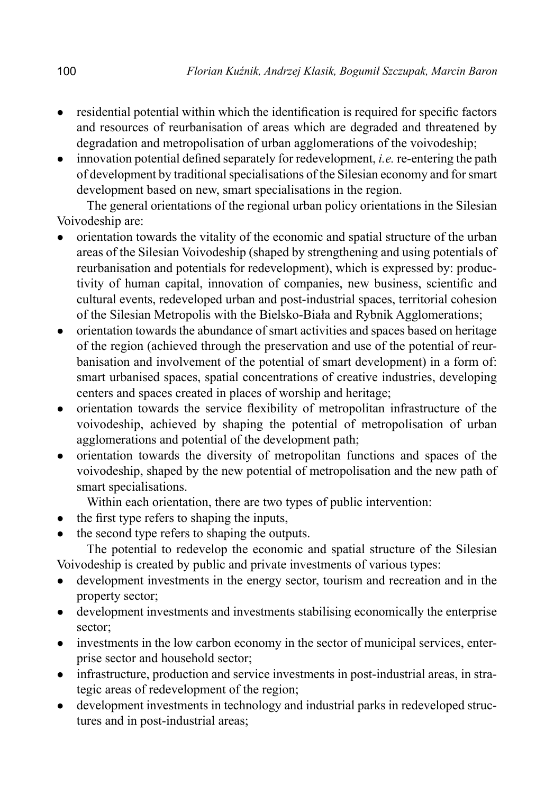- residential potential within which the identification is required for specific factors and resources of reurbanisation of areas which are degraded and threatened by degradation and metropolisation of urban agglomerations of the voivodeship;
- innovation potential defined separately for redevelopment, *i.e.* re-entering the path of development by traditional specialisations of the Silesian economy and for smart development based on new, smart specialisations in the region.

The general orientations of the regional urban policy orientations in the Silesian Voivodeship are:

- orientation towards the vitality of the economic and spatial structure of the urban areas of the Silesian Voivodeship (shaped by strengthening and using potentials of reurbanisation and potentials for redevelopment), which is expressed by: productivity of human capital, innovation of companies, new business, scientific and cultural events, redeveloped urban and post-industrial spaces, territorial cohesion of the Silesian Metropolis with the Bielsko-Biała and Rybnik Agglomerations;
- orientation towards the abundance of smart activities and spaces based on heritage of the region (achieved through the preservation and use of the potential of reurbanisation and involvement of the potential of smart development) in a form of: smart urbanised spaces, spatial concentrations of creative industries, developing centers and spaces created in places of worship and heritage;
- orientation towards the service flexibility of metropolitan infrastructure of the voivodeship, achieved by shaping the potential of metropolisation of urban agglomerations and potential of the development path;
- orientation towards the diversity of metropolitan functions and spaces of the voivodeship, shaped by the new potential of metropolisation and the new path of smart specialisations.

Within each orientation, there are two types of public intervention:

- the first type refers to shaping the inputs,
- the second type refers to shaping the outputs.

The potential to redevelop the economic and spatial structure of the Silesian Voivodeship is created by public and private investments of various types:

- development investments in the energy sector, tourism and recreation and in the property sector;
- development investments and investments stabilising economically the enterprise sector;
- investments in the low carbon economy in the sector of municipal services, enterprise sector and household sector;
- infrastructure, production and service investments in post-industrial areas, in strategic areas of redevelopment of the region;
- development investments in technology and industrial parks in redeveloped structures and in post-industrial areas;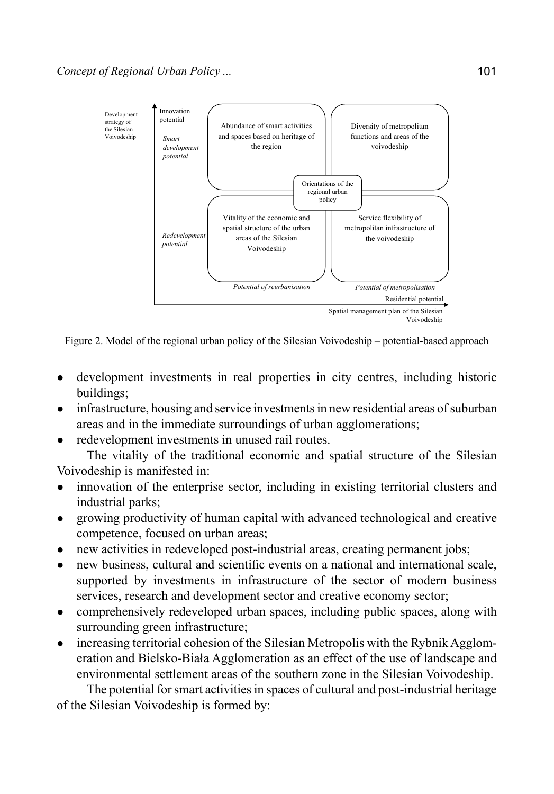

Figure 2. Model of the regional urban policy of the Silesian Voivodeship – potential-based approach

- development investments in real properties in city centres, including historic buildings;
- infrastructure, housing and service investments in new residential areas of suburban areas and in the immediate surroundings of urban agglomerations;
- redevelopment investments in unused rail routes.

The vitality of the traditional economic and spatial structure of the Silesian Voivodeship is manifested in:

- innovation of the enterprise sector, including in existing territorial clusters and industrial parks;
- growing productivity of human capital with advanced technological and creative competence, focused on urban areas;
- new activities in redeveloped post-industrial areas, creating permanent jobs;
- new business, cultural and scientific events on a national and international scale, supported by investments in infrastructure of the sector of modern business services, research and development sector and creative economy sector;
- comprehensively redeveloped urban spaces, including public spaces, along with surrounding green infrastructure;
- increasing territorial cohesion of the Silesian Metropolis with the Rybnik Agglomeration and Bielsko-Biała Agglomeration as an effect of the use of landscape and environmental settlement areas of the southern zone in the Silesian Voivodeship.

The potential for smart activities in spaces of cultural and post-industrial heritage of the Silesian Voivodeship is formed by: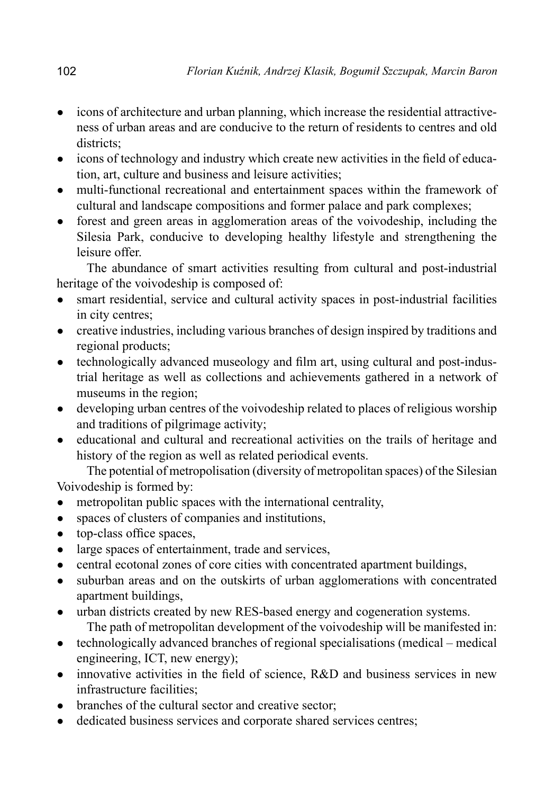- icons of architecture and urban planning, which increase the residential attractiveness of urban areas and are conducive to the return of residents to centres and old districts:
- icons of technology and industry which create new activities in the field of education, art, culture and business and leisure activities;
- multi-functional recreational and entertainment spaces within the framework of cultural and landscape compositions and former palace and park complexes;
- forest and green areas in agglomeration areas of the voivodeship, including the Silesia Park, conducive to developing healthy lifestyle and strengthening the leisure offer.

The abundance of smart activities resulting from cultural and post-industrial heritage of the voivodeship is composed of:

- smart residential, service and cultural activity spaces in post-industrial facilities in city centres;
- creative industries, including various branches of design inspired by traditions and regional products;
- technologically advanced museology and film art, using cultural and post-industrial heritage as well as collections and achievements gathered in a network of museums in the region;
- developing urban centres of the voivodeship related to places of religious worship and traditions of pilgrimage activity;
- educational and cultural and recreational activities on the trails of heritage and history of the region as well as related periodical events.

The potential of metropolisation (diversity of metropolitan spaces) of the Silesian Voivodeship is formed by:

- metropolitan public spaces with the international centrality,
- spaces of clusters of companies and institutions,
- top-class office spaces,
- large spaces of entertainment, trade and services,
- central ecotonal zones of core cities with concentrated apartment buildings,
- suburban areas and on the outskirts of urban agglomerations with concentrated apartment buildings,
- urban districts created by new RES-based energy and cogeneration systems. The path of metropolitan development of the voivodeship will be manifested in:
- technologically advanced branches of regional specialisations (medical medical engineering, ICT, new energy);
- innovative activities in the field of science, R&D and business services in new infrastructure facilities;
- branches of the cultural sector and creative sector;
- dedicated business services and corporate shared services centres;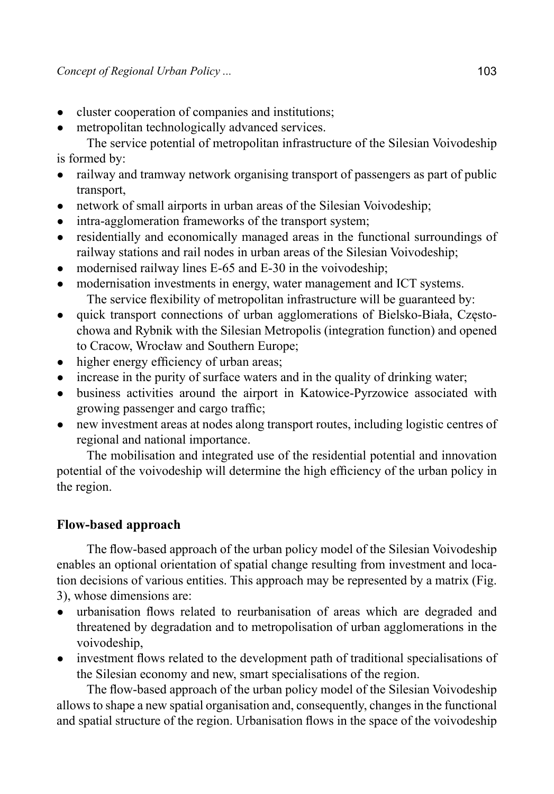- cluster cooperation of companies and institutions;
- metropolitan technologically advanced services.

The service potential of metropolitan infrastructure of the Silesian Voivodeship is formed by:

- railway and tramway network organising transport of passengers as part of public transport,
- network of small airports in urban areas of the Silesian Voivodeship;
- intra-agglomeration frameworks of the transport system;
- residentially and economically managed areas in the functional surroundings of railway stations and rail nodes in urban areas of the Silesian Voivodeship;
- modernised railway lines E-65 and E-30 in the voivodeship;
- modernisation investments in energy, water management and ICT systems. The service flexibility of metropolitan infrastructure will be guaranteed by:
- quick transport connections of urban agglomerations of Bielsko-Biała, Częstochowa and Rybnik with the Silesian Metropolis (integration function) and opened to Cracow, Wrocław and Southern Europe;
- higher energy efficiency of urban areas;
- increase in the purity of surface waters and in the quality of drinking water;
- business activities around the airport in Katowice-Pyrzowice associated with growing passenger and cargo traffic;
- new investment areas at nodes along transport routes, including logistic centres of regional and national importance.

The mobilisation and integrated use of the residential potential and innovation potential of the voivodeship will determine the high efficiency of the urban policy in the region.

## **Flow-based approach**

The flow-based approach of the urban policy model of the Silesian Voivodeship enables an optional orientation of spatial change resulting from investment and location decisions of various entities. This approach may be represented by a matrix (Fig. 3), whose dimensions are:

- urbanisation flows related to reurbanisation of areas which are degraded and threatened by degradation and to metropolisation of urban agglomerations in the voivodeship,
- investment flows related to the development path of traditional specialisations of the Silesian economy and new, smart specialisations of the region.

The flow-based approach of the urban policy model of the Silesian Voivodeship allows to shape a new spatial organisation and, consequently, changes in the functional and spatial structure of the region. Urbanisation flows in the space of the voivodeship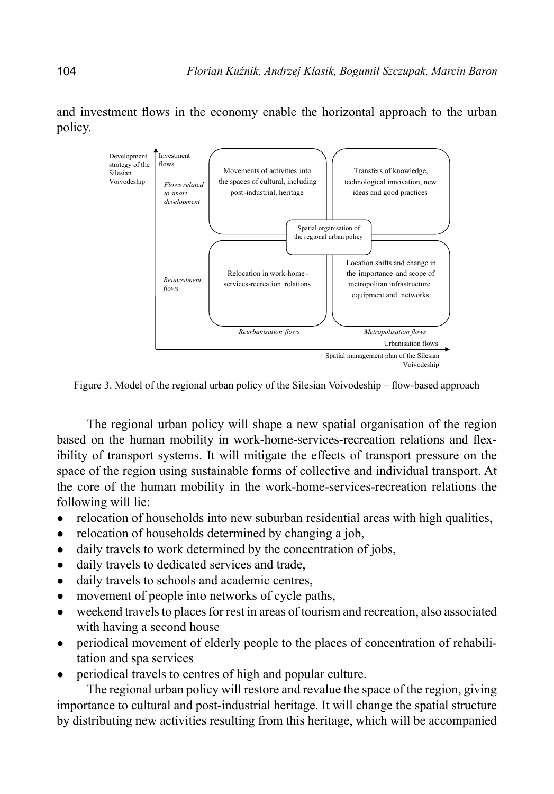

and investment flows in the economy enable the horizontal approach to the urban policy.

Figure 3. Model of the regional urban policy of the Silesian Voivodeship – flow-based approach

The regional urban policy will shape a new spatial organisation of the region based on the human mobility in work-home-services-recreation relations and flexibility of transport systems. It will mitigate the effects of transport pressure on the space of the region using sustainable forms of collective and individual transport. At the core of the human mobility in the work-home-services-recreation relations the following will lie:

- relocation of households into new suburban residential areas with high qualities,
- relocation of households determined by changing a job,
- daily travels to work determined by the concentration of jobs,
- daily travels to dedicated services and trade,
- daily travels to schools and academic centres,
- movement of people into networks of cycle paths,
- weekend travels to places for rest in areas of tourism and recreation, also associated with having a second house
- periodical movement of elderly people to the places of concentration of rehabilitation and spa services
- periodical travels to centres of high and popular culture.

The regional urban policy will restore and revalue the space of the region, giving importance to cultural and post-industrial heritage. It will change the spatial structure by distributing new activities resulting from this heritage, which will be accompanied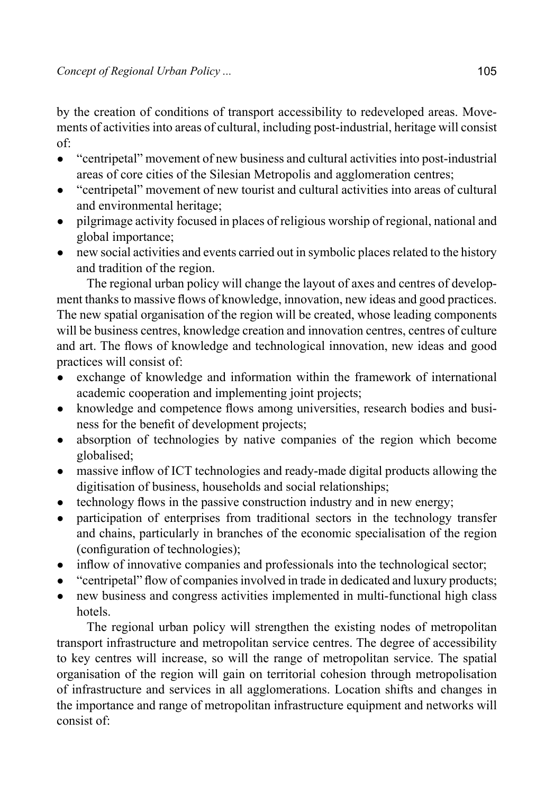by the creation of conditions of transport accessibility to redeveloped areas. Movements of activities into areas of cultural, including post-industrial, heritage will consist of:

- "centripetal" movement of new business and cultural activities into post-industrial areas of core cities of the Silesian Metropolis and agglomeration centres;
- "centripetal" movement of new tourist and cultural activities into areas of cultural and environmental heritage;
- pilgrimage activity focused in places of religious worship of regional, national and global importance;
- new social activities and events carried out in symbolic places related to the history and tradition of the region.

The regional urban policy will change the layout of axes and centres of development thanks to massive flows of knowledge, innovation, new ideas and good practices. The new spatial organisation of the region will be created, whose leading components will be business centres, knowledge creation and innovation centres, centres of culture and art. The flows of knowledge and technological innovation, new ideas and good practices will consist of:

- exchange of knowledge and information within the framework of international academic cooperation and implementing joint projects;
- knowledge and competence flows among universities, research bodies and business for the benefit of development projects;
- absorption of technologies by native companies of the region which become globalised;
- massive inflow of ICT technologies and ready-made digital products allowing the digitisation of business, households and social relationships;
- technology flows in the passive construction industry and in new energy;
- participation of enterprises from traditional sectors in the technology transfer and chains, particularly in branches of the economic specialisation of the region (configuration of technologies);
- inflow of innovative companies and professionals into the technological sector;
- "centripetal" flow of companies involved in trade in dedicated and luxury products;
- new business and congress activities implemented in multi-functional high class hotels.

The regional urban policy will strengthen the existing nodes of metropolitan transport infrastructure and metropolitan service centres. The degree of accessibility to key centres will increase, so will the range of metropolitan service. The spatial organisation of the region will gain on territorial cohesion through metropolisation of infrastructure and services in all agglomerations. Location shifts and changes in the importance and range of metropolitan infrastructure equipment and networks will consist of: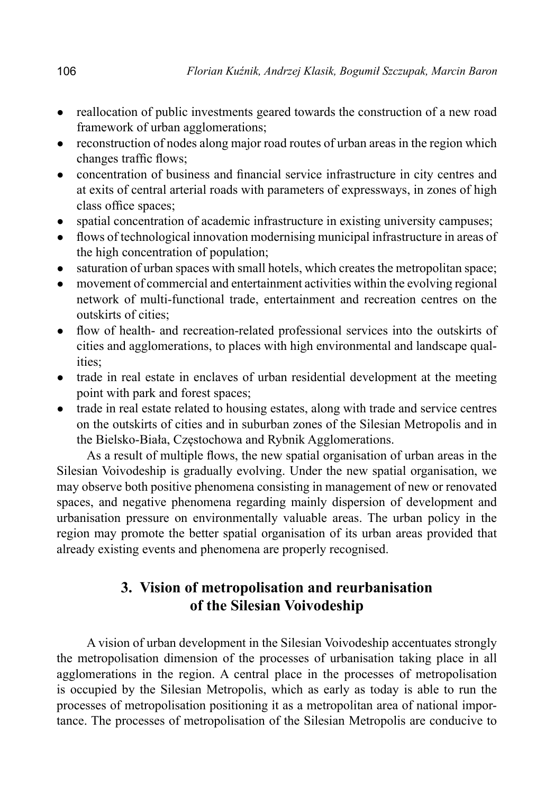- reallocation of public investments geared towards the construction of a new road framework of urban agglomerations;
- reconstruction of nodes along major road routes of urban areas in the region which changes traffic flows;
- concentration of business and financial service infrastructure in city centres and at exits of central arterial roads with parameters of expressways, in zones of high class office spaces;
- spatial concentration of academic infrastructure in existing university campuses;
- flows of technological innovation modernising municipal infrastructure in areas of the high concentration of population;
- saturation of urban spaces with small hotels, which creates the metropolitan space;
- movement of commercial and entertainment activities within the evolving regional network of multi-functional trade, entertainment and recreation centres on the outskirts of cities;
- flow of health- and recreation-related professional services into the outskirts of cities and agglomerations, to places with high environmental and landscape qualities;
- trade in real estate in enclaves of urban residential development at the meeting point with park and forest spaces;
- trade in real estate related to housing estates, along with trade and service centres on the outskirts of cities and in suburban zones of the Silesian Metropolis and in the Bielsko-Biała, Częstochowa and Rybnik Agglomerations.

As a result of multiple flows, the new spatial organisation of urban areas in the Silesian Voivodeship is gradually evolving. Under the new spatial organisation, we may observe both positive phenomena consisting in management of new or renovated spaces, and negative phenomena regarding mainly dispersion of development and urbanisation pressure on environmentally valuable areas. The urban policy in the region may promote the better spatial organisation of its urban areas provided that already existing events and phenomena are properly recognised.

## **3. Vision of metropolisation and reurbanisation of the Silesian Voivodeship**

A vision of urban development in the Silesian Voivodeship accentuates strongly the metropolisation dimension of the processes of urbanisation taking place in all agglomerations in the region. A central place in the processes of metropolisation is occupied by the Silesian Metropolis, which as early as today is able to run the processes of metropolisation positioning it as a metropolitan area of national importance. The processes of metropolisation of the Silesian Metropolis are conducive to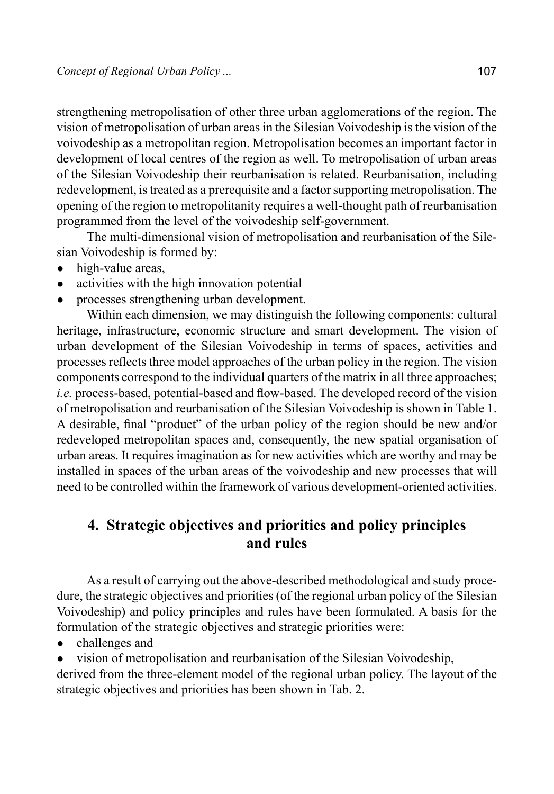strengthening metropolisation of other three urban agglomerations of the region. The vision of metropolisation of urban areas in the Silesian Voivodeship is the vision of the voivodeship as a metropolitan region. Metropolisation becomes an important factor in development of local centres of the region as well. To metropolisation of urban areas of the Silesian Voivodeship their reurbanisation is related. Reurbanisation, including redevelopment, is treated as a prerequisite and a factor supporting metropolisation. The opening of the region to metropolitanity requires a well-thought path of reurbanisation programmed from the level of the voivodeship self-government.

The multi-dimensional vision of metropolisation and reurbanisation of the Silesian Voivodeship is formed by:

- high-value areas,
- activities with the high innovation potential
- processes strengthening urban development.

Within each dimension, we may distinguish the following components: cultural heritage, infrastructure, economic structure and smart development. The vision of urban development of the Silesian Voivodeship in terms of spaces, activities and processes reflects three model approaches of the urban policy in the region. The vision components correspond to the individual quarters of the matrix in all three approaches; *i.e.* process-based, potential-based and flow-based. The developed record of the vision of metropolisation and reurbanisation of the Silesian Voivodeship is shown in Table 1. A desirable, final "product" of the urban policy of the region should be new and/or redeveloped metropolitan spaces and, consequently, the new spatial organisation of urban areas. It requires imagination as for new activities which are worthy and may be installed in spaces of the urban areas of the voivodeship and new processes that will need to be controlled within the framework of various development-oriented activities.

## **4. Strategic objectives and priorities and policy principles and rules**

As a result of carrying out the above-described methodological and study procedure, the strategic objectives and priorities (of the regional urban policy of the Silesian Voivodeship) and policy principles and rules have been formulated. A basis for the formulation of the strategic objectives and strategic priorities were:

- challenges and
- vision of metropolisation and reurbanisation of the Silesian Voivodeship,

derived from the three-element model of the regional urban policy. The layout of the strategic objectives and priorities has been shown in Tab. 2.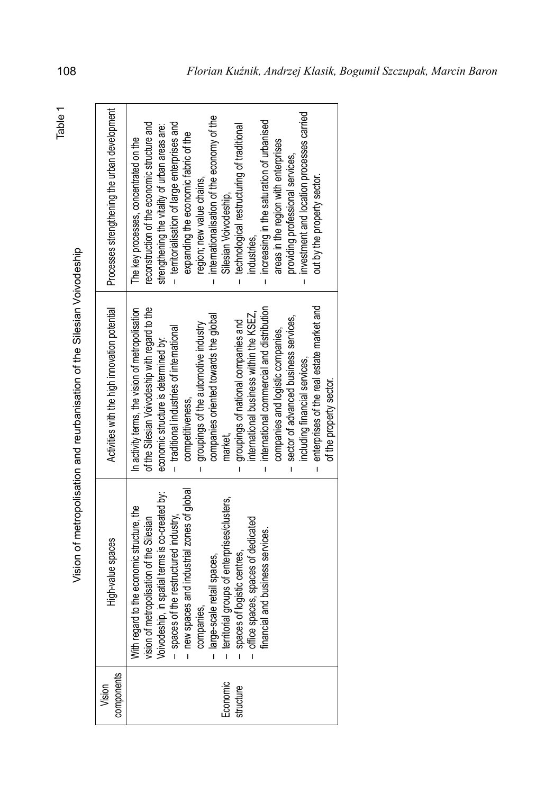| г<br>ı |
|--------|
|        |
|        |
|        |

Vision of metropolisation and reurbanisation of the Silesian Voivodeship Vision of metropolisation and reurbanisation of the Silesian Voivodeship

| components<br>Vision  | High-value spaces                                                                                                                                                                                                                                                                                                                                                                              | Activities with the high innovation potential                                                                                                                                                                                                                                                                                                                                                                                                                                                                                                                                                                                                                 | Processes strengthening the urban development                                                                                                                                                                                                                                                                                                                                                                                                                                                                                                                                                                                                                 |
|-----------------------|------------------------------------------------------------------------------------------------------------------------------------------------------------------------------------------------------------------------------------------------------------------------------------------------------------------------------------------------------------------------------------------------|---------------------------------------------------------------------------------------------------------------------------------------------------------------------------------------------------------------------------------------------------------------------------------------------------------------------------------------------------------------------------------------------------------------------------------------------------------------------------------------------------------------------------------------------------------------------------------------------------------------------------------------------------------------|---------------------------------------------------------------------------------------------------------------------------------------------------------------------------------------------------------------------------------------------------------------------------------------------------------------------------------------------------------------------------------------------------------------------------------------------------------------------------------------------------------------------------------------------------------------------------------------------------------------------------------------------------------------|
| Economic<br>structure | - spaces of the restructured industry,<br>- new spaces and industrial zones of global<br>companies,<br>- large-scale retail spaces,<br>- territorial groups of enterprises/clusters,<br>- spaces of logistic centres,<br>- office spaces, spaces<br>With regard to the economic structure, the<br>vision of metropolisation of the Silesian<br>Voivodeship, in spatial terms is co-created by: | enterprises of the real estate market and<br>international commercial and distribution<br>of the Silesian Voivodeship with regard to the<br>In activity terms, the vision of metropolisation<br>international business within the KSEZ,<br>companies oriented towards the global<br>sector of advanced business services,<br>groupings of national companies and<br>groupings of the automotive industry<br>- traditional industries of international<br>companies and logistic companies,<br>economic structure is determined by:<br>including financial services,<br>of the property sector.<br>competitiveness,<br>market,<br>$\mathbf{I}$<br>$\mathbf{I}$ | investment and location processes carried<br>internationalisation of the economy of the<br>increasing in the saturation of urbanised<br>- territorialisation of large enterprises and<br>reconstruction of the economic structure and<br>strengthening the vitality of urban areas are:<br>technological restructuring of traditional<br>expanding the economic fabric of the<br>The key processes, concentrated on the<br>areas in the region with enterprises<br>providing professional services,<br>out by the property sector.<br>region; new value chains,<br>Silesian Voivodeship,<br>industries,<br>Ī<br>$\mathbf I$<br>$\mathbf{I}$<br>$\overline{1}$ |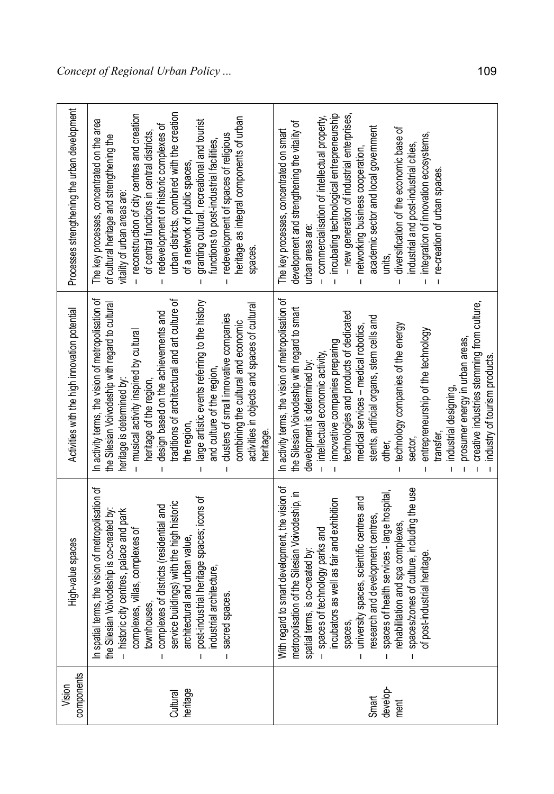| Processes strengthening the urban development | urban districts, combined with the creation<br>- reconstruction of city centres and creation<br>heritage as integral components of urban<br>The key processes, concentrated on the area<br>granting cultural, recreational and tourist<br>redevelopment of historic complexes of<br>of central functions in central districts,<br>redevelopment of spaces of religious<br>of cultural heritage and strengthening the<br>functions to post-industrial facilities,<br>of a network of public spaces,<br>vitality of urban areas are:<br>spaces.<br>$\mathbf{I}$<br>I.<br>$\mathbf{I}$              | incubating technological entrepreneurship<br>- new generation of industrial enterprises,<br>- commercialisation of intellectual property,<br>development and strengthening the vitality of<br>academic sector and local government<br>diversification of the economic base of<br>The key processes, concentrated on smart<br>integration of innovation ecosystems,<br>industrial and post-industrial cities,<br>networking business cooperation,<br>re-creation of urban spaces.<br>urban areas are:<br>units,<br>$\mathbf{I}$<br>$\mathbf{I}$<br>Ī<br>$\mathbf{I}$<br>$\mathbf{I}$                                                                                                        |
|-----------------------------------------------|--------------------------------------------------------------------------------------------------------------------------------------------------------------------------------------------------------------------------------------------------------------------------------------------------------------------------------------------------------------------------------------------------------------------------------------------------------------------------------------------------------------------------------------------------------------------------------------------------|--------------------------------------------------------------------------------------------------------------------------------------------------------------------------------------------------------------------------------------------------------------------------------------------------------------------------------------------------------------------------------------------------------------------------------------------------------------------------------------------------------------------------------------------------------------------------------------------------------------------------------------------------------------------------------------------|
| Activities with the high innovation potential | In activity terms, the vision of metropolisation of<br>traditions of architectural and art culture of<br>large artistic events referring to the history<br>the Silesian Voivodeship with regard to cultural<br>activities in objects and spaces of cultural<br>design based on the achievements and<br>clusters of small innovative companies<br>combining the cultural and economic<br>musical activity inspired by cultural<br>and culture of the region<br>heritage of the region,<br>heritage is determined by<br>the region,<br>heritage.<br>$\overline{1}$<br>$\mathbf{I}$<br>$\mathbf{I}$ | In activity terms, the vision of metropolisation of<br>creative industries stemming from culture,<br>the Silesian Voivodeship with regard to smart<br>technologies and products of dedicated<br>stents, artificial organs, stem cells and<br>technology companies of the energy<br>medical services - medical robotics,<br>entrepreneurship of the technology<br>prosumer energy in urban areas,<br>innovative companies preparing<br>intellectual economic activity<br>industry of tourism products.<br>development is determined by:<br>industrial designing,<br>transter,<br>sector,<br>other,<br>$\overline{1}$<br>$\mathbf{I}$<br>$\mathbf{I}$<br>$\overline{1}$<br>$\mathbf{I}$<br>L |
| High-value spaces                             | al terms, the vision of metropolisation of<br>-industrial heritage spaces; icons of<br>ice buildings) with the high historic<br>plexes of districts (residential and<br>the Silesian Voivodeship is co-created by:<br>- historic city centres, palace and park<br>complexes, villas, complexes of<br>townhouses,<br>itectural and urban value,<br>strial architecture,<br>ed spaces.<br>com<br><b>Sacre</b><br>In spatia<br>servi<br>$\ddot{a}$<br>arch<br>post<br>$\mathbf{I}$<br>$\mathbf{I}$                                                                                                  | With regard to smart development, the vision of<br>ces/zones of culture, including the use<br>es of health services - large hospital,<br>metropolisation of the Silesian Voivodeship, in<br>ersity spaces, scientific centres and<br>incubators as well as fair and exhibition<br>arch and development centres,<br>bilitation and spa complexes,<br>- spaces of technology parks and<br>spatial terms, is co-created by<br>ost-industrial heritage<br>spaces,<br>universit<br>rese<br>spac<br>rehal<br>ک<br>b<br>spac<br>$\mathbf{I}$<br>Ï<br>Ī                                                                                                                                            |
| components<br>Vision                          | Cultural<br>heritage                                                                                                                                                                                                                                                                                                                                                                                                                                                                                                                                                                             | Smart<br>develop-<br>ment                                                                                                                                                                                                                                                                                                                                                                                                                                                                                                                                                                                                                                                                  |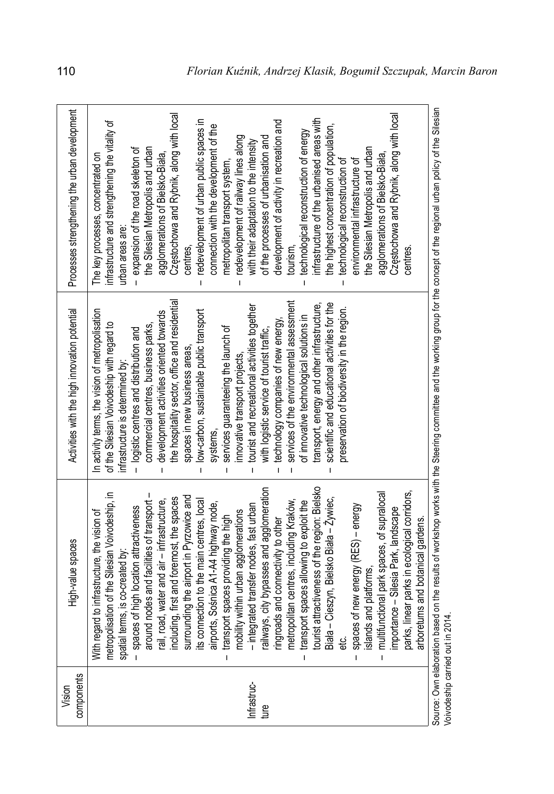| components<br>Vision | High-value spaces                                                                                                                                                                                                                                                                                                                                                                                                                                                                                                                                                                                                                                                                                                                                                                                                                                                                                                                                                                                                                                                                                                                                                                     | Activities with the high innovation potential                                                                                                                                                                                                                                                                                                                                                                                                                                                                                                                                                                                                                                                                                                                                                                                                                                          | Processes strengthening the urban development                                                                                                                                                                                                                                                                                                                                                                                                                                                                                                                                                                                                                                                                                                                                                                                                                                                                                                                                       |
|----------------------|---------------------------------------------------------------------------------------------------------------------------------------------------------------------------------------------------------------------------------------------------------------------------------------------------------------------------------------------------------------------------------------------------------------------------------------------------------------------------------------------------------------------------------------------------------------------------------------------------------------------------------------------------------------------------------------------------------------------------------------------------------------------------------------------------------------------------------------------------------------------------------------------------------------------------------------------------------------------------------------------------------------------------------------------------------------------------------------------------------------------------------------------------------------------------------------|----------------------------------------------------------------------------------------------------------------------------------------------------------------------------------------------------------------------------------------------------------------------------------------------------------------------------------------------------------------------------------------------------------------------------------------------------------------------------------------------------------------------------------------------------------------------------------------------------------------------------------------------------------------------------------------------------------------------------------------------------------------------------------------------------------------------------------------------------------------------------------------|-------------------------------------------------------------------------------------------------------------------------------------------------------------------------------------------------------------------------------------------------------------------------------------------------------------------------------------------------------------------------------------------------------------------------------------------------------------------------------------------------------------------------------------------------------------------------------------------------------------------------------------------------------------------------------------------------------------------------------------------------------------------------------------------------------------------------------------------------------------------------------------------------------------------------------------------------------------------------------------|
| Infrastruc-<br>ture  | tourist attractiveness of the region: Bielsko<br>railways, city bypasses and agglomeration<br>parks, linear parks in ecological corridors,<br>functional park spaces, of supralocal<br>lisation of the Silesian Voivodeship, in<br>nd nodes and facilities of transport -<br>surrounding the airport in Pyrzowice and<br>its connection to the main centres, local<br>rail, road, water and air – infrastructure,<br>including, first and foremost, the spaces<br>- Cieszyn, Bielsko Biała - Zywiec,<br>metropolitan centres, including Kraków,<br>transport spaces allowing to exploit the<br>airports, Sośnica A1-A4 highway node,<br>transport spaces providing the high<br>spaces of new energy (RES) - energy<br>mobility within urban agglomerations<br>- integrated transfer nodes, fast urban<br>- spaces of high location attractiveness<br>importance – Silesia Park, landscape<br>ard to infrastructure, the vision of<br>etums and botanical gardens<br>ringroads and connectivity to other<br>spatial terms, is co-created by:<br>islands and platforms,<br>metropol<br>With rega<br>Biała<br>$-$ multifi<br>arbor<br>aroun<br>eťc.<br>$\mathbf{I}$<br>Ĺ<br>$\mathbf{I}$ | the hospitality sector, office and residential<br>services of the environmental assessment<br>transport, energy and other infrastructure,<br>scientific and educational activities for the<br>tourist and recreational activities together<br>preservation of biodiversity in the region.<br>In activity terms, the vision of metropolisation<br>low-carbon, sustainable public transport<br>development activities oriented towards<br>of innovative technological solutions in<br>technology companies of new energy,<br>of the Silesian Voivodeship with regard to<br>commercial centres, business parks<br>services guaranteeing the launch of<br>- logistic centres and distribution and<br>with logistic service of tourist traffic.<br>spaces in new business areas.<br>innovative transport projects.<br>infrastructure is determined by:<br>systems<br>т<br>L<br>I.<br>т<br>T | Częstochowa and Rybnik, along with local<br>Częstochowa and Rybnik, along with local<br>infrastructure of the urbanised areas with<br>redevelopment of urban public spaces in<br>development of activity in recreation and<br>infrastructure and strengthening the vitality of<br>the highest concentration of population,<br>connection with the development of the<br>technological reconstruction of energy<br>redevelopment of railway lines along<br>of the processes of urbanisation and<br>with their adaptation to the intensity<br>the Silesian Metropolis and urban<br>the Silesian Metropolis and urban<br>- expansion of the road skeleton of<br>agglomerations of Bielsko-Biała,<br>The key processes, concentrated on<br>agglomerations of Bielsko-Biała.<br>environmental infrastructure of<br>technological reconstruction of<br>metropolitan transport system<br>urban areas are<br>tourism.<br>centres<br>centres<br>$\mathbf{I}$<br>$\mathbf{I}$<br>$\mathbf{I}$ |
|                      | Source: Own elaboration based on the results of workshop works with the Steering committee and the working group for the concept of the regional urban policy of the Silesian                                                                                                                                                                                                                                                                                                                                                                                                                                                                                                                                                                                                                                                                                                                                                                                                                                                                                                                                                                                                         |                                                                                                                                                                                                                                                                                                                                                                                                                                                                                                                                                                                                                                                                                                                                                                                                                                                                                        |                                                                                                                                                                                                                                                                                                                                                                                                                                                                                                                                                                                                                                                                                                                                                                                                                                                                                                                                                                                     |

Voivodeship carried out in 2014. Voivodeship carried out in 2014.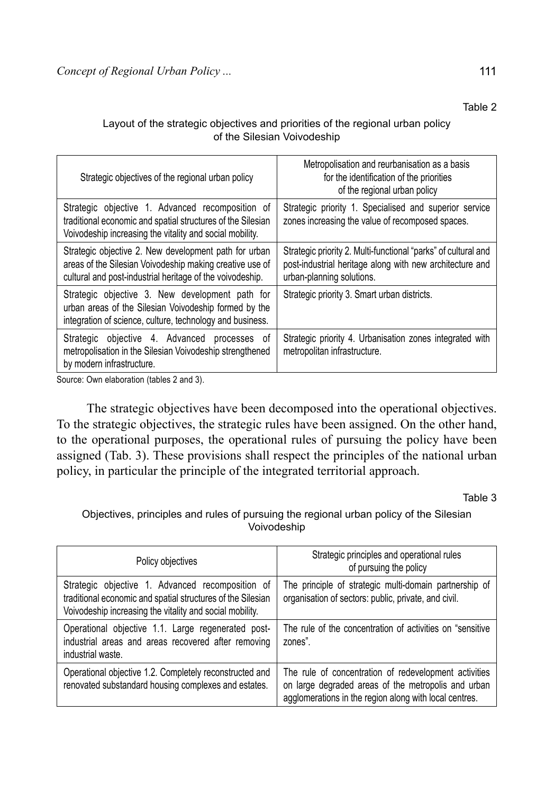#### Layout of the strategic objectives and priorities of the regional urban policy of the Silesian Voivodeship

| Strategic objectives of the regional urban policy                                                                                                                              | Metropolisation and reurbanisation as a basis<br>for the identification of the priorities<br>of the regional urban policy                               |
|--------------------------------------------------------------------------------------------------------------------------------------------------------------------------------|---------------------------------------------------------------------------------------------------------------------------------------------------------|
| Strategic objective 1. Advanced recomposition of<br>traditional economic and spatial structures of the Silesian<br>Voivodeship increasing the vitality and social mobility.    | Strategic priority 1. Specialised and superior service<br>zones increasing the value of recomposed spaces.                                              |
| Strategic objective 2. New development path for urban<br>areas of the Silesian Voivodeship making creative use of<br>cultural and post-industrial heritage of the voivodeship. | Strategic priority 2. Multi-functional "parks" of cultural and<br>post-industrial heritage along with new architecture and<br>urban-planning solutions. |
| Strategic objective 3. New development path for<br>urban areas of the Silesian Voivodeship formed by the<br>integration of science, culture, technology and business.          | Strategic priority 3. Smart urban districts.                                                                                                            |
| Strategic objective 4. Advanced processes of<br>metropolisation in the Silesian Voivodeship strengthened<br>by modern infrastructure.                                          | Strategic priority 4. Urbanisation zones integrated with<br>metropolitan infrastructure.                                                                |

Source: Own elaboration (tables 2 and 3).

The strategic objectives have been decomposed into the operational objectives. To the strategic objectives, the strategic rules have been assigned. On the other hand, to the operational purposes, the operational rules of pursuing the policy have been assigned (Tab. 3). These provisions shall respect the principles of the national urban policy, in particular the principle of the integrated territorial approach.

Table 3

Objectives, principles and rules of pursuing the regional urban policy of the Silesian Voivodeship

| Policy objectives                                                                                                                                                           | Strategic principles and operational rules<br>of pursuing the policy                                                                                                   |
|-----------------------------------------------------------------------------------------------------------------------------------------------------------------------------|------------------------------------------------------------------------------------------------------------------------------------------------------------------------|
| Strategic objective 1. Advanced recomposition of<br>traditional economic and spatial structures of the Silesian<br>Voivodeship increasing the vitality and social mobility. | The principle of strategic multi-domain partnership of<br>organisation of sectors: public, private, and civil.                                                         |
| Operational objective 1.1. Large regenerated post-<br>industrial areas and areas recovered after removing<br>industrial waste.                                              | The rule of the concentration of activities on "sensitive"<br>zones".                                                                                                  |
| Operational objective 1.2. Completely reconstructed and<br>renovated substandard housing complexes and estates.                                                             | The rule of concentration of redevelopment activities<br>on large degraded areas of the metropolis and urban<br>agglomerations in the region along with local centres. |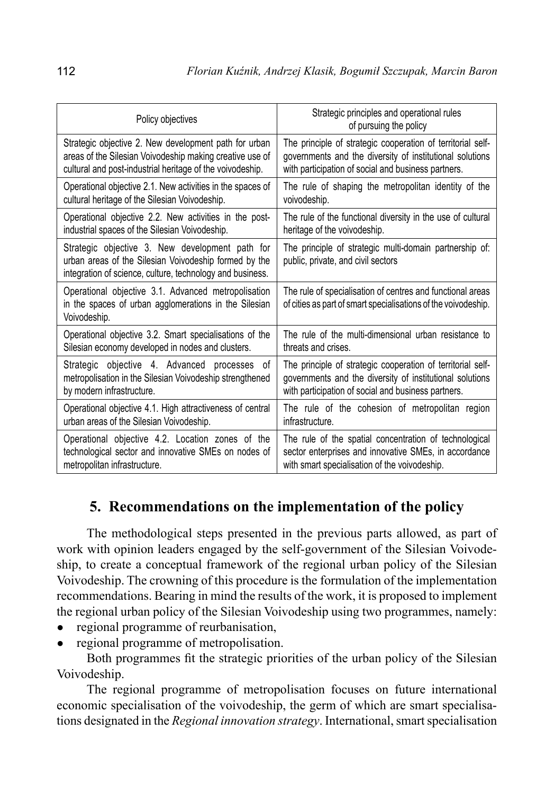| Policy objectives                                                                                                                                                     | Strategic principles and operational rules<br>of pursuing the policy                                                                                                           |
|-----------------------------------------------------------------------------------------------------------------------------------------------------------------------|--------------------------------------------------------------------------------------------------------------------------------------------------------------------------------|
| Strategic objective 2. New development path for urban                                                                                                                 | The principle of strategic cooperation of territorial self-                                                                                                                    |
| areas of the Silesian Voivodeship making creative use of                                                                                                              | governments and the diversity of institutional solutions                                                                                                                       |
| cultural and post-industrial heritage of the voivodeship.                                                                                                             | with participation of social and business partners.                                                                                                                            |
| Operational objective 2.1. New activities in the spaces of                                                                                                            | The rule of shaping the metropolitan identity of the                                                                                                                           |
| cultural heritage of the Silesian Voivodeship.                                                                                                                        | voivodeship.                                                                                                                                                                   |
| Operational objective 2.2. New activities in the post-                                                                                                                | The rule of the functional diversity in the use of cultural                                                                                                                    |
| industrial spaces of the Silesian Voivodeship.                                                                                                                        | heritage of the voivodeship.                                                                                                                                                   |
| Strategic objective 3. New development path for<br>urban areas of the Silesian Voivodeship formed by the<br>integration of science, culture, technology and business. | The principle of strategic multi-domain partnership of:<br>public, private, and civil sectors                                                                                  |
| Operational objective 3.1. Advanced metropolisation<br>in the spaces of urban agglomerations in the Silesian<br>Voivodeship.                                          | The rule of specialisation of centres and functional areas<br>of cities as part of smart specialisations of the voivodeship.                                                   |
| Operational objective 3.2. Smart specialisations of the                                                                                                               | The rule of the multi-dimensional urban resistance to                                                                                                                          |
| Silesian economy developed in nodes and clusters.                                                                                                                     | threats and crises.                                                                                                                                                            |
| Strategic objective 4. Advanced processes<br>of<br>metropolisation in the Silesian Voivodeship strengthened<br>by modern infrastructure.                              | The principle of strategic cooperation of territorial self-<br>governments and the diversity of institutional solutions<br>with participation of social and business partners. |
| Operational objective 4.1. High attractiveness of central                                                                                                             | The rule of the cohesion of metropolitan region                                                                                                                                |
| urban areas of the Silesian Voivodeship.                                                                                                                              | infrastructure.                                                                                                                                                                |
| Operational objective 4.2. Location zones of the                                                                                                                      | The rule of the spatial concentration of technological                                                                                                                         |
| technological sector and innovative SMEs on nodes of                                                                                                                  | sector enterprises and innovative SMEs, in accordance                                                                                                                          |
| metropolitan infrastructure.                                                                                                                                          | with smart specialisation of the voivodeship.                                                                                                                                  |

## **5. Recommendations on the implementation of the policy**

The methodological steps presented in the previous parts allowed, as part of work with opinion leaders engaged by the self-government of the Silesian Voivodeship, to create a conceptual framework of the regional urban policy of the Silesian Voivodeship. The crowning of this procedure is the formulation of the implementation recommendations. Bearing in mind the results of the work, it is proposed to implement the regional urban policy of the Silesian Voivodeship using two programmes, namely:

- regional programme of reurbanisation,
- regional programme of metropolisation.

Both programmes fit the strategic priorities of the urban policy of the Silesian Voivodeship.

The regional programme of metropolisation focuses on future international economic specialisation of the voivodeship, the germ of which are smart specialisations designated in the *Regional innovation strategy*. International, smart specialisation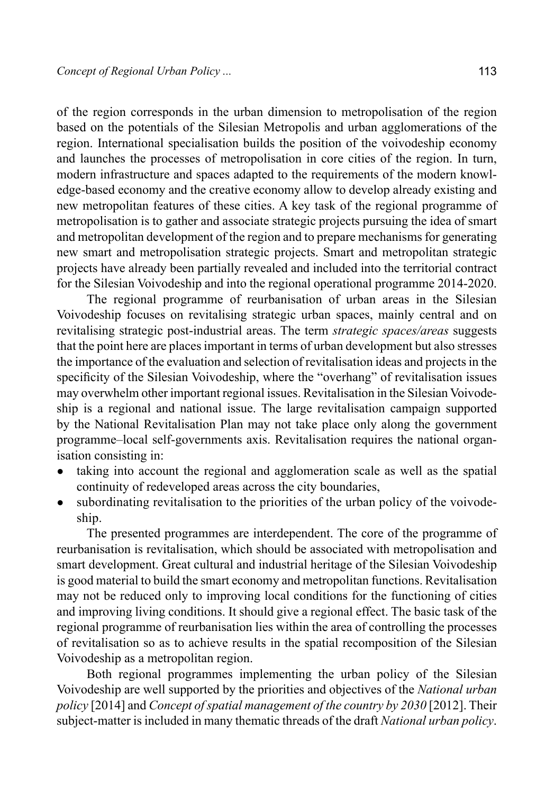of the region corresponds in the urban dimension to metropolisation of the region based on the potentials of the Silesian Metropolis and urban agglomerations of the region. International specialisation builds the position of the voivodeship economy and launches the processes of metropolisation in core cities of the region. In turn, modern infrastructure and spaces adapted to the requirements of the modern knowledge-based economy and the creative economy allow to develop already existing and new metropolitan features of these cities. A key task of the regional programme of metropolisation is to gather and associate strategic projects pursuing the idea of smart and metropolitan development of the region and to prepare mechanisms for generating new smart and metropolisation strategic projects. Smart and metropolitan strategic projects have already been partially revealed and included into the territorial contract for the Silesian Voivodeship and into the regional operational programme 2014-2020.

The regional programme of reurbanisation of urban areas in the Silesian Voivodeship focuses on revitalising strategic urban spaces, mainly central and on revitalising strategic post-industrial areas. The term *strategic spaces/areas* suggests that the point here are places important in terms of urban development but also stresses the importance of the evaluation and selection of revitalisation ideas and projects in the specificity of the Silesian Voivodeship, where the "overhang" of revitalisation issues may overwhelm other important regional issues. Revitalisation in the Silesian Voivodeship is a regional and national issue. The large revitalisation campaign supported by the National Revitalisation Plan may not take place only along the government programme–local self-governments axis. Revitalisation requires the national organisation consisting in:

- taking into account the regional and agglomeration scale as well as the spatial continuity of redeveloped areas across the city boundaries,
- subordinating revitalisation to the priorities of the urban policy of the voivodeship.

The presented programmes are interdependent. The core of the programme of reurbanisation is revitalisation, which should be associated with metropolisation and smart development. Great cultural and industrial heritage of the Silesian Voivodeship is good material to build the smart economy and metropolitan functions. Revitalisation may not be reduced only to improving local conditions for the functioning of cities and improving living conditions. It should give a regional effect. The basic task of the regional programme of reurbanisation lies within the area of controlling the processes of revitalisation so as to achieve results in the spatial recomposition of the Silesian Voivodeship as a metropolitan region.

Both regional programmes implementing the urban policy of the Silesian Voivodeship are well supported by the priorities and objectives of the *National urban policy* [2014] and *Concept of spatial management of the country by 2030* [2012]. Their subject-matter is included in many thematic threads of the draft *National urban policy*.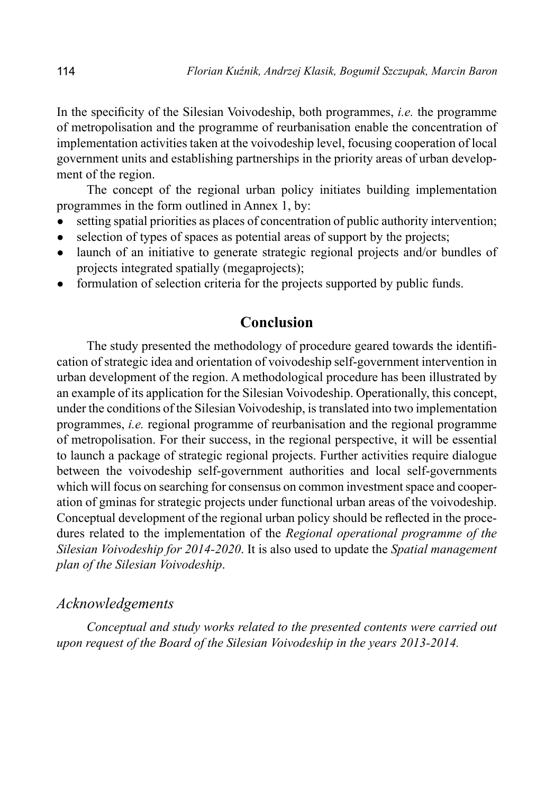In the specificity of the Silesian Voivodeship, both programmes, *i.e.* the programme of metropolisation and the programme of reurbanisation enable the concentration of implementation activities taken at the voivodeship level, focusing cooperation of local government units and establishing partnerships in the priority areas of urban development of the region.

The concept of the regional urban policy initiates building implementation programmes in the form outlined in Annex 1, by:

- setting spatial priorities as places of concentration of public authority intervention;
- selection of types of spaces as potential areas of support by the projects;
- launch of an initiative to generate strategic regional projects and/or bundles of projects integrated spatially (megaprojects);
- formulation of selection criteria for the projects supported by public funds.

### **Conclusion**

The study presented the methodology of procedure geared towards the identification of strategic idea and orientation of voivodeship self-government intervention in urban development of the region. A methodological procedure has been illustrated by an example of its application for the Silesian Voivodeship. Operationally, this concept, under the conditions of the Silesian Voivodeship, is translated into two implementation programmes, *i.e.* regional programme of reurbanisation and the regional programme of metropolisation. For their success, in the regional perspective, it will be essential to launch a package of strategic regional projects. Further activities require dialogue between the voivodeship self-government authorities and local self-governments which will focus on searching for consensus on common investment space and cooperation of gminas for strategic projects under functional urban areas of the voivodeship. Conceptual development of the regional urban policy should be reflected in the procedures related to the implementation of the *Regional operational programme of the Silesian Voivodeship for 2014-2020*. It is also used to update the *Spatial management plan of the Silesian Voivodeship*.

### *Acknowledgements*

*Conceptual and study works related to the presented contents were carried out upon request of the Board of the Silesian Voivodeship in the years 2013-2014.*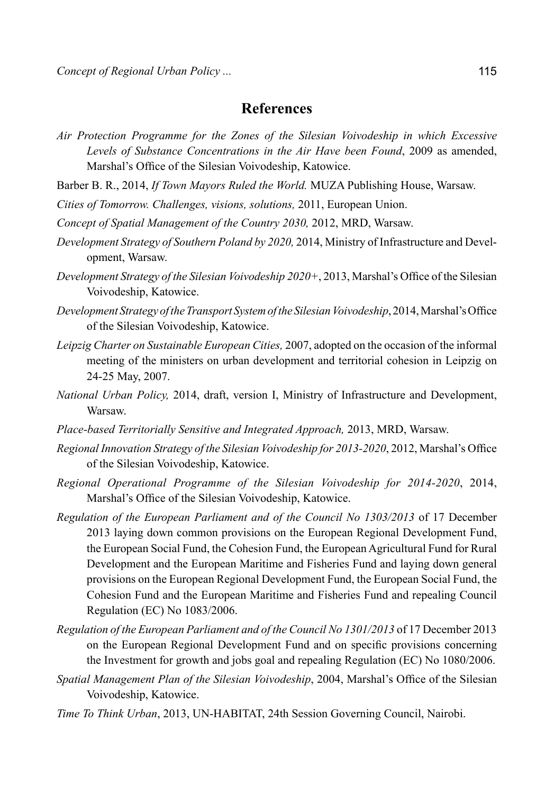#### **References**

*Air Protection Programme for the Zones of the Silesian Voivodeship in which Excessive Levels of Substance Concentrations in the Air Have been Found*, 2009 as amended, Marshal's Office of the Silesian Voivodeship, Katowice.

Barber B. R., 2014, *If Town Mayors Ruled the World.* MUZA Publishing House, Warsaw.

*Cities of Tomorrow. Challenges, visions, solutions,* 2011, European Union.

- *Concept of Spatial Management of the Country 2030,* 2012, MRD, Warsaw.
- *Development Strategy of Southern Poland by 2020,* 2014, Ministry of Infrastructure and Development, Warsaw.
- *Development Strategy of the Silesian Voivodeship 2020+*, 2013, Marshal's Office of the Silesian Voivodeship, Katowice.
- *Development Strategy of the Transport System of the Silesian Voivodeship*, 2014, Marshal'sOffice of the Silesian Voivodeship, Katowice.
- *Leipzig Charter on Sustainable European Cities,* 2007, adopted on the occasion of the informal meeting of the ministers on urban development and territorial cohesion in Leipzig on 24-25 May, 2007.
- *National Urban Policy,* 2014, draft, version I, Ministry of Infrastructure and Development, Warsaw.
- *Place-based Territorially Sensitive and Integrated Approach,* 2013, MRD, Warsaw.
- *Regional Innovation Strategy of the Silesian Voivodeship for 2013-2020*, 2012, Marshal's Office of the Silesian Voivodeship, Katowice.
- *Regional Operational Programme of the Silesian Voivodeship for 2014-2020*, 2014, Marshal's Office of the Silesian Voivodeship, Katowice.
- *Regulation of the European Parliament and of the Council No 1303/2013* of 17 December 2013 laying down common provisions on the European Regional Development Fund, the European Social Fund, the Cohesion Fund, the European Agricultural Fund for Rural Development and the European Maritime and Fisheries Fund and laying down general provisions on the European Regional Development Fund, the European Social Fund, the Cohesion Fund and the European Maritime and Fisheries Fund and repealing Council Regulation (EC) No 1083/2006.
- *Regulation of the European Parliament and of the Council No 1301/2013* of 17 December 2013 on the European Regional Development Fund and on specific provisions concerning the Investment for growth and jobs goal and repealing Regulation (EC) No 1080/2006.
- *Spatial Management Plan of the Silesian Voivodeship*, 2004, Marshal's Office of the Silesian Voivodeship, Katowice.
- *Time To Think Urban*, 2013, UN-HABITAT, 24th Session Governing Council, Nairobi.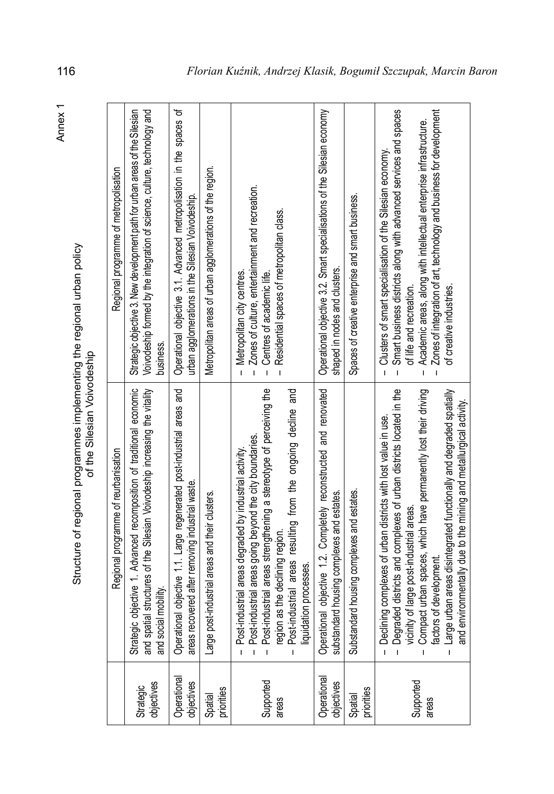|                           | Structure of regional programmes implementing the regional urban policy<br>of the Silesian Voivodeship                                                                                                                                                                                                    |                                                                                                                                                                                                                                                                                                                                                                                     |
|---------------------------|-----------------------------------------------------------------------------------------------------------------------------------------------------------------------------------------------------------------------------------------------------------------------------------------------------------|-------------------------------------------------------------------------------------------------------------------------------------------------------------------------------------------------------------------------------------------------------------------------------------------------------------------------------------------------------------------------------------|
|                           | Regional programme of reurbanisation                                                                                                                                                                                                                                                                      | Regional programme of metropolisation                                                                                                                                                                                                                                                                                                                                               |
| Strategic<br>objectives   | Strategic objective 1. Advanced recomposition of traditional economic<br>and spatial structures of the Silesian Voivodeship increasing the vitality<br>ial mobility<br>and soci                                                                                                                           | Strategic objective 3. New development path for urban areas of the Silesian<br>Voivodeship formed by the integration of science, culture, technology and<br>business.                                                                                                                                                                                                               |
| Operational<br>objectives | Operational objective 1.1. Large regenerated post-industrial areas and<br>areas recovered after removing industrial waste.                                                                                                                                                                                | Operational objective 3.1. Advanced metropolisation in the spaces of<br>urban agglomerations in the Silesian Voivodeship.                                                                                                                                                                                                                                                           |
| Spatial<br>priorities     | Large post-industrial areas and their clusters.                                                                                                                                                                                                                                                           | Metropolitan areas of urban agglomerations of the region.                                                                                                                                                                                                                                                                                                                           |
| Supported<br>areas        | - Post-industrial areas going beyond the city boundaries.<br>- Post-industrial areas strengthening a stereotype of perceiving the<br>region as the declining region.<br>- Post-industrial areas resulting from the ongoing decline and<br><br>Post-industrial areas degraded by industrial activity.<br>Ï | Zones of culture, entertainment and recreation.<br>Residential spaces of metropolitan class.<br>Metropolitan city centres.<br>Centres of academic life.<br>Ï<br>$\overline{1}$<br>$\overline{1}$<br>$\mathbf{I}$                                                                                                                                                                    |
| Operational<br>objectives | onal objective 1.2. Completely reconstructed and renovated<br>idard housing complexes and estates.<br>substano<br>Operatio                                                                                                                                                                                | Operational objective 3.2. Smart specialisations of the Silesian economy<br>shaped in nodes and clusters.                                                                                                                                                                                                                                                                           |
| Spatial<br>priorities     | ndard housing complexes and estates.<br>Substan                                                                                                                                                                                                                                                           | Spaces of creative enterprise and smart business.                                                                                                                                                                                                                                                                                                                                   |
| Supported<br>areas        | - Declining complexes of urban districts with lost value in use.<br>- Degraded districts and complexes of urban districts located in the<br>- vicinity of large post-industrial areas.<br>- Compact urban spaces, which have permanentl                                                                   | Smart business districts along with advanced services and spaces<br>Zones of integration of art, technology and business for development<br>Academic areas, along with intellectual enterprise infrastructure.<br>- Clusters of smart specialisation of the Silesian economy<br>of life and recreation.<br>of creative industries<br>$\mathbf{I}$<br>$\mathbf{I}$<br>$\overline{1}$ |

Structure of regional programmes implementing the regional urban policy<br>of the Silesian Voivodeship

Annex 1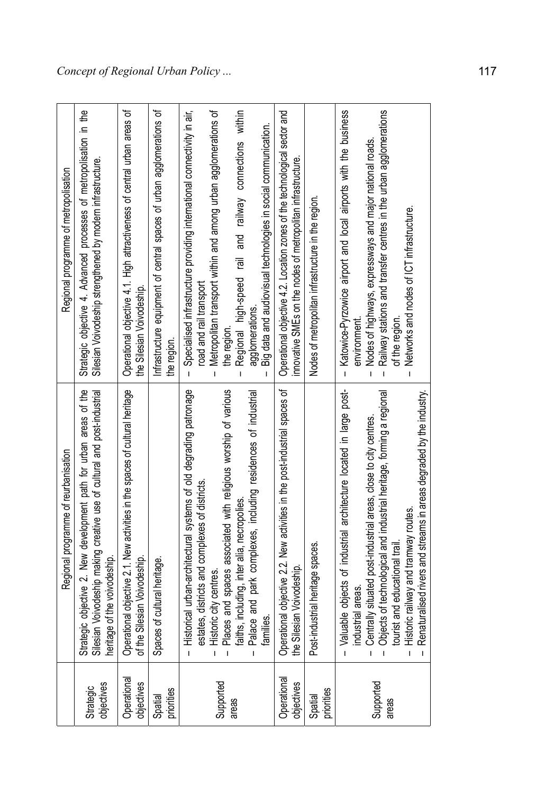|                           | Regional programme of reurbanisation                                                                                                                                                                                                                                                                                                                                                                                                    | Regional programme of metropolisation                                                                                                                                                                                                                                                                                                                                                                                  |
|---------------------------|-----------------------------------------------------------------------------------------------------------------------------------------------------------------------------------------------------------------------------------------------------------------------------------------------------------------------------------------------------------------------------------------------------------------------------------------|------------------------------------------------------------------------------------------------------------------------------------------------------------------------------------------------------------------------------------------------------------------------------------------------------------------------------------------------------------------------------------------------------------------------|
| Strategic<br>objectives   | Strategic objective 2. New development path for urban areas of the<br>Silesian Voivodeship making creative use of cultural and post-industrial<br>heritage of the voivodeship.                                                                                                                                                                                                                                                          | Strategic objective 4. Advanced processes of metropolisation in the<br>Silesian Voivodeship strengthened by modern infrastructure.                                                                                                                                                                                                                                                                                     |
| Operational<br>objectives | Operational objective 2.1. New activities in the spaces of cultural heritage<br>of the Silesian Voivodeship.                                                                                                                                                                                                                                                                                                                            | Operational objective 4.1. High attractiveness of central urban areas of<br>the Silesian Voivodeship.                                                                                                                                                                                                                                                                                                                  |
| Spatial<br>priorities     | Spaces of cultural heritage.                                                                                                                                                                                                                                                                                                                                                                                                            | Infrastructure equipment of central spaces of urban agglomerations of<br>the reqion.                                                                                                                                                                                                                                                                                                                                   |
| Supported<br>areas        | torical urban-architectural systems of old degrading patronage<br>ces and spaces associated with religious worship of various<br>Palace and park complexes, including residences of industrial<br>estates, districts and complexes of districts.<br>Historic city centres.<br>Places and spaces associated with religio<br>faiths, including, inter alia, necropolies.<br>illes.<br>훞<br>高<br>$\mathbf{I}$<br>$\mathbf{I}$              | Metropolitan transport within and among urban agglomerations of<br>Specialised infrastructure providing international connectivity in air,<br>railway connections within<br>Big data and audiovisual technologies in social communication.<br>and<br>$\overline{\overline{e}}$<br>Regional high-speed<br>road and rail transport<br>agglomerations.<br>the region<br>$\mathbf{I}$<br>$\mathbf{I}$<br>т<br>$\mathbf{I}$ |
| Operational<br>objectives | Operational objective 2.2. New activities in the post-industrial spaces of<br>the Silesian Voivodeship.                                                                                                                                                                                                                                                                                                                                 | Operational objective 4.2. Location zones of the technological sector and<br>innovative SMEs on the nodes of metropolitan infrastructure.                                                                                                                                                                                                                                                                              |
| Spatial<br>priorities     | Post-industrial heritage spaces.                                                                                                                                                                                                                                                                                                                                                                                                        | Nodes of metropolitan infrastructure in the region                                                                                                                                                                                                                                                                                                                                                                     |
| Supported<br>areas        | uable objects of industrial architecture located in large post-<br>ects of technological and industrial heritage, forming a regional<br>naturalised rivers and streams in areas degraded by the industry.<br>itrally situated post-industrial areas, close to city centres.<br>toric railway and tramway routes.<br>ist and educational trail<br>strial areas<br><u>ទី</u> ទី ទី ទី ទី ឌី ឌី<br>ङ्<br>Ī<br>$\mathbf{I}$<br>$\mathbf{I}$ | Katowice-Pyrzowice airport and local airports with the business<br>Railway stations and transfer centres in the urban agglomerations<br>Nodes of highways, expressways and major national roads.<br>Networks and nodes of ICT infrastructure.<br>of the region<br>environment<br>$\mathbf{I}$<br>$\mathbf{I}$<br>$\mathbf{I}$<br>$\mathbf{I}$                                                                          |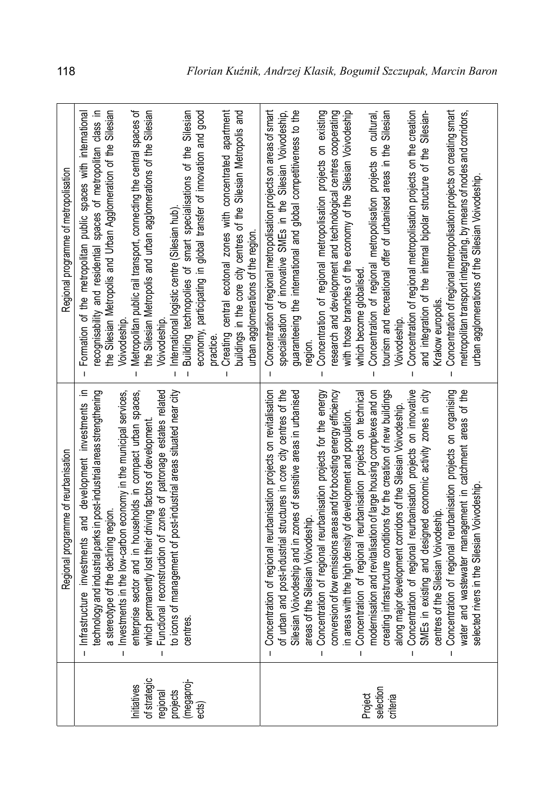| Regional programme of metropolisation | Creating central ecotonal zones with concentrated apartment<br>buildings in the core city centres of the Silesian Metropolis and<br>recognisability and residential spaces of metropolitan class in<br>the Silesian Metropolis and Urban Agglomeration of the Silesian<br>Metropolitan public rail transport, connecting the central spaces of<br>the Silesian Metropolis and urban agglomerations of the Silesian<br>Building technopolies of smart specialisations of the Silesian<br>economy, participating in global transfer of innovation and good<br>Formation of the metropolitan public spaces with international<br>International logistic centre (Silesian hub)<br>urban agglomerations of the region<br>Voivodeship.<br>Voivodeship<br>practice.<br>I<br>$\overline{1}$<br>$\mathbf{I}$<br>$\overline{1}$<br>$\mathbf{I}$<br>⊒. | Concentration of regional metropolisation projects on areas of smart<br>Concentration of regional metropolisation projects on creating smart<br>guaranteeing the international and global competitiveness to the<br>with those branches of the economy of the Silesian Voivodeship<br>Concentration of regional metropolisation projects on existing<br>research and development and technological centres cooperating<br>Concentration of regional metropolisation projects on cultural,<br>Concentration of regional metropolisation projects on the creation<br>and integration of the internal bipolar structure of the Silesian-<br>specialisation of innovative SMEs in the Silesian Voivodeship,<br>tourism and recreational offer of urbanised areas in the Silesian<br>metropolitan transport integrating, by means of nodes and corridors,<br>urban agglomerations of the Silesian Voivodeship.<br>which become globalised<br>Krakow europolis.<br>Voivodeship.<br>reqion.<br>$\mathbf{I}$<br>$\overline{1}$<br>$\mathbf{I}$<br>$\mathbf{I}$<br>$\mathbf{I}$ |
|---------------------------------------|---------------------------------------------------------------------------------------------------------------------------------------------------------------------------------------------------------------------------------------------------------------------------------------------------------------------------------------------------------------------------------------------------------------------------------------------------------------------------------------------------------------------------------------------------------------------------------------------------------------------------------------------------------------------------------------------------------------------------------------------------------------------------------------------------------------------------------------------|------------------------------------------------------------------------------------------------------------------------------------------------------------------------------------------------------------------------------------------------------------------------------------------------------------------------------------------------------------------------------------------------------------------------------------------------------------------------------------------------------------------------------------------------------------------------------------------------------------------------------------------------------------------------------------------------------------------------------------------------------------------------------------------------------------------------------------------------------------------------------------------------------------------------------------------------------------------------------------------------------------------------------------------------------------------------|
| Regional programme of reurbanisation  | technology and industrial parks in post-industrial areas strengthening<br>a stereotype of the declining region.<br>- Investments in the low-carbon economy in the municipal services,<br>enterpise sector and in households in compact<br>Infrastructure investments and development investments<br>$\mathbf{I}$<br>Ĺ                                                                                                                                                                                                                                                                                                                                                                                                                                                                                                                       | - Concentration of regional reurbanisation projects on revitalisation $ $<br>of urban and post-industrial structures in core city centres of the<br>silesian Voivodeship and in zones of sensitive areas in urbanised<br>areas of the S<br>I                                                                                                                                                                                                                                                                                                                                                                                                                                                                                                                                                                                                                                                                                                                                                                                                                           |
|                                       | Initiatives<br>of strategic<br>regional<br>projects<br>(megaproj-<br>ects)                                                                                                                                                                                                                                                                                                                                                                                                                                                                                                                                                                                                                                                                                                                                                                  | Project<br>selection<br>criteria                                                                                                                                                                                                                                                                                                                                                                                                                                                                                                                                                                                                                                                                                                                                                                                                                                                                                                                                                                                                                                       |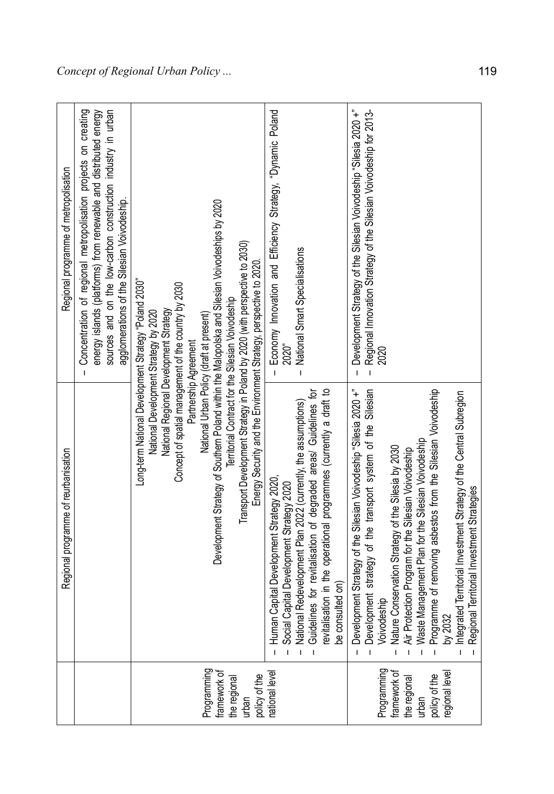|                                                                                        | Regional programme of reurbanisation                                                                                                                                                                                                                                                                                                                                                                                                                                                                                                                                             | Regional programme of metropolisation                                                                                                                                                                                                                             |
|----------------------------------------------------------------------------------------|----------------------------------------------------------------------------------------------------------------------------------------------------------------------------------------------------------------------------------------------------------------------------------------------------------------------------------------------------------------------------------------------------------------------------------------------------------------------------------------------------------------------------------------------------------------------------------|-------------------------------------------------------------------------------------------------------------------------------------------------------------------------------------------------------------------------------------------------------------------|
|                                                                                        |                                                                                                                                                                                                                                                                                                                                                                                                                                                                                                                                                                                  | Concentration of regional metropolisation projects on creating<br>energy islands (platforms) from renewable and distributed energy<br>sources and on the low-carbon construction industry in urban<br>agglomerations of the Silesian Voivodeship.<br>$\mathbf{I}$ |
| Programming<br>framework of<br>the regional<br>urban                                   | Development Strategy of Southern Poland within the Malopolska and Silesian Voivodeships by 2020<br>Transport Development Strategy in Poland by 2020 (with perspective to 2030)<br>Energy Security and the Environment Strategy, perspective to 2020<br>Long-term National Development Strategy "Poland 2030<br>Concept of spatial management of the country by 2030<br>Territorial Contract for the Silesian Voivodeship<br>National Regional Development Strategy<br>National Development Strategy by 2020<br>National Urban Policy (draft at present)<br>Partnership Agreement |                                                                                                                                                                                                                                                                   |
| policy of the<br>national level                                                        | Human Capital Development Strategy 2020,<br>Social Capital Development Strategy 2020<br>National Redevelopment Plan 2022 (currently, the assumptions)<br>Guidelines for revitalisation of degraded areas/ Guidelines for<br>revitalisation<br>$\mathbf{I}$<br>$\overline{1}$<br>$\mathbf{I}$                                                                                                                                                                                                                                                                                     | Economy Innovation and Efficiency Strategy, "Dynamic Poland<br>National Smart Specialisations<br>2020"<br>$\overline{1}$<br>$\mathbf{I}$                                                                                                                          |
| Programming<br>framework of<br>the regional<br>urban<br>policy of the<br>egional level | - Development strategy of the transport system of the Silesian<br>- Nature Conservation Strategy of the Silesia by 2030<br>- Air Protection Program for the Silesian Voivodeship<br>- Air Protection Program for the Silesian Voivodesh<br>Development Strategy of the Silesian Voivodeship "Silesia 2020 +"<br>$\overline{1}$<br>$\mathbf{I}$                                                                                                                                                                                                                                   | Development Strategy of the Silesian Voivodeship "Silesia 2020 +"<br>Regional Innovation Strategy of the Silesian Voivodeship for 2013-<br>$\mathbf{I}$<br>$\mathbf{I}$                                                                                           |